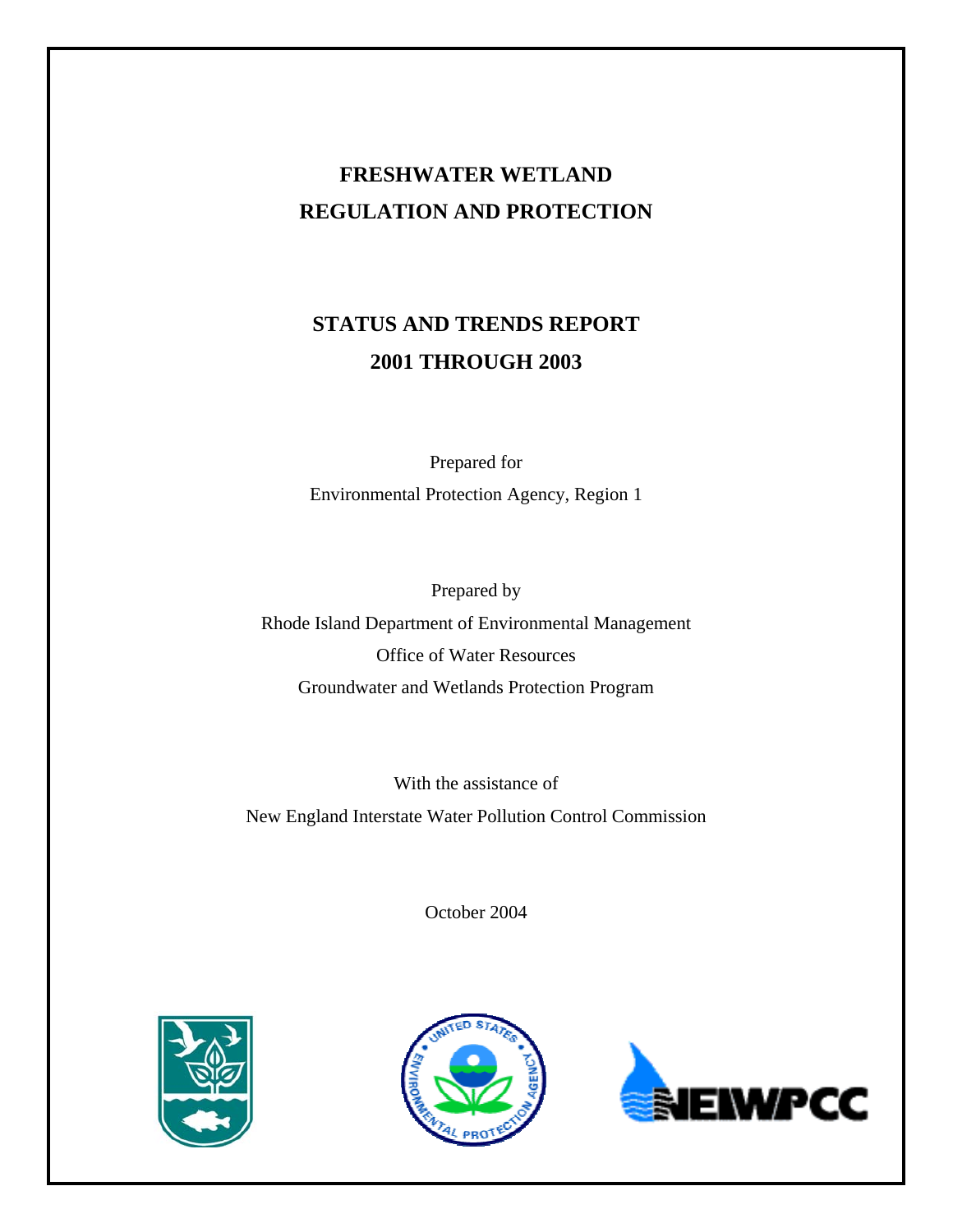# **FRESHWATER WETLAND REGULATION AND PROTECTION**

# **STATUS AND TRENDS REPORT 2001 THROUGH 2003**

Prepared for Environmental Protection Agency, Region 1

Prepared by Rhode Island Department of Environmental Management Office of Water Resources Groundwater and Wetlands Protection Program

With the assistance of New England Interstate Water Pollution Control Commission

October 2004





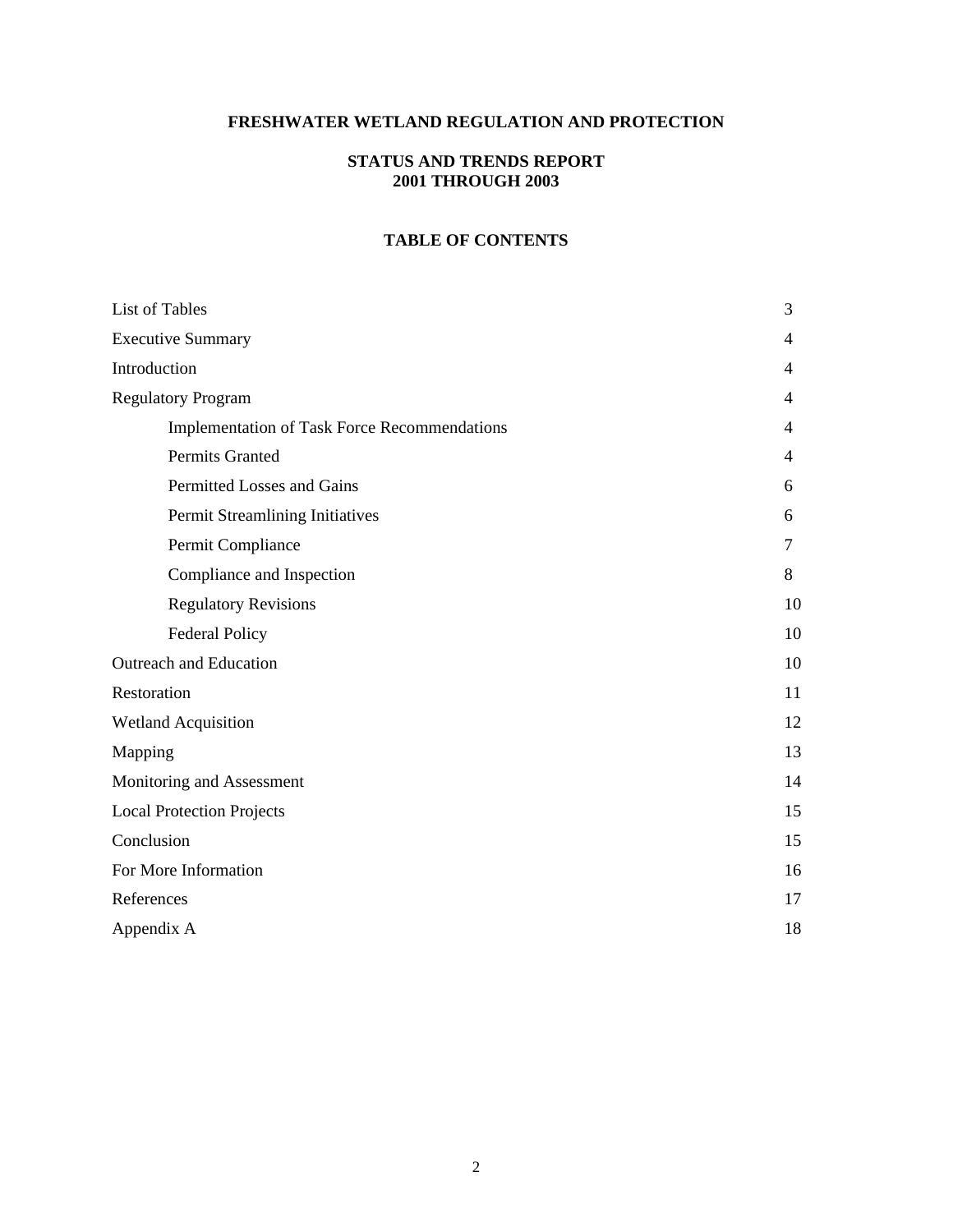# **FRESHWATER WETLAND REGULATION AND PROTECTION**

# **STATUS AND TRENDS REPORT 2001 THROUGH 2003**

#### **TABLE OF CONTENTS**

| List of Tables                               | 3  |
|----------------------------------------------|----|
| <b>Executive Summary</b>                     | 4  |
| Introduction                                 | 4  |
| <b>Regulatory Program</b>                    | 4  |
| Implementation of Task Force Recommendations | 4  |
| Permits Granted                              | 4  |
| Permitted Losses and Gains                   | 6  |
| Permit Streamlining Initiatives              | 6  |
| Permit Compliance                            | 7  |
| Compliance and Inspection                    | 8  |
| <b>Regulatory Revisions</b>                  | 10 |
| <b>Federal Policy</b>                        | 10 |
| Outreach and Education                       | 10 |
| Restoration                                  | 11 |
| <b>Wetland Acquisition</b>                   | 12 |
| Mapping                                      | 13 |
| Monitoring and Assessment                    | 14 |
| <b>Local Protection Projects</b>             | 15 |
| Conclusion                                   | 15 |
| For More Information                         | 16 |
| References                                   | 17 |
| Appendix A                                   | 18 |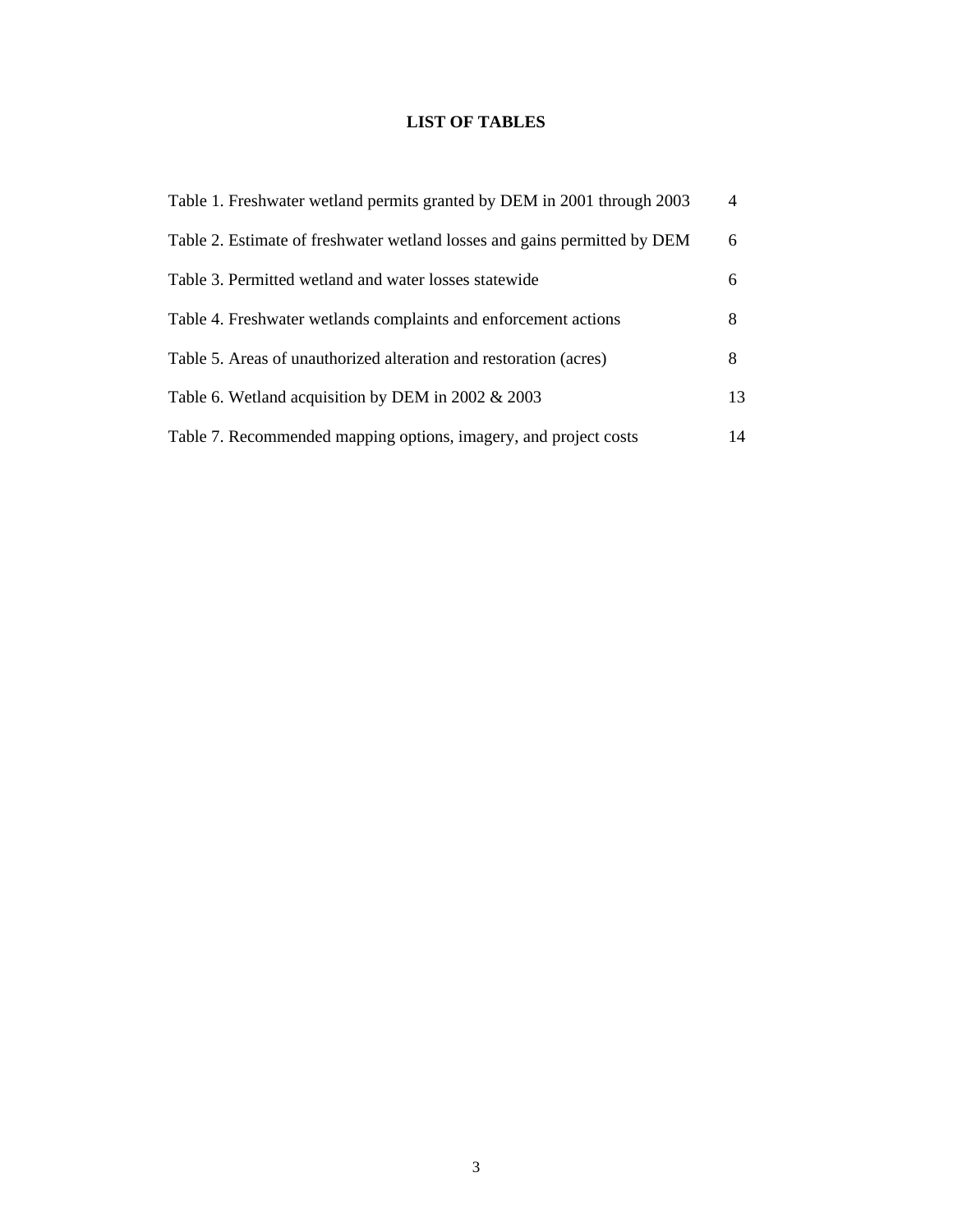# **LIST OF TABLES**

| Table 1. Freshwater wetland permits granted by DEM in 2001 through 2003   | $\overline{4}$ |
|---------------------------------------------------------------------------|----------------|
| Table 2. Estimate of freshwater wetland losses and gains permitted by DEM | 6              |
| Table 3. Permitted wetland and water losses statewide                     | 6              |
| Table 4. Freshwater wetlands complaints and enforcement actions           | 8              |
| Table 5. Areas of unauthorized alteration and restoration (acres)         | 8              |
| Table 6. Wetland acquisition by DEM in 2002 & 2003                        | 13             |
| Table 7. Recommended mapping options, imagery, and project costs          | 14             |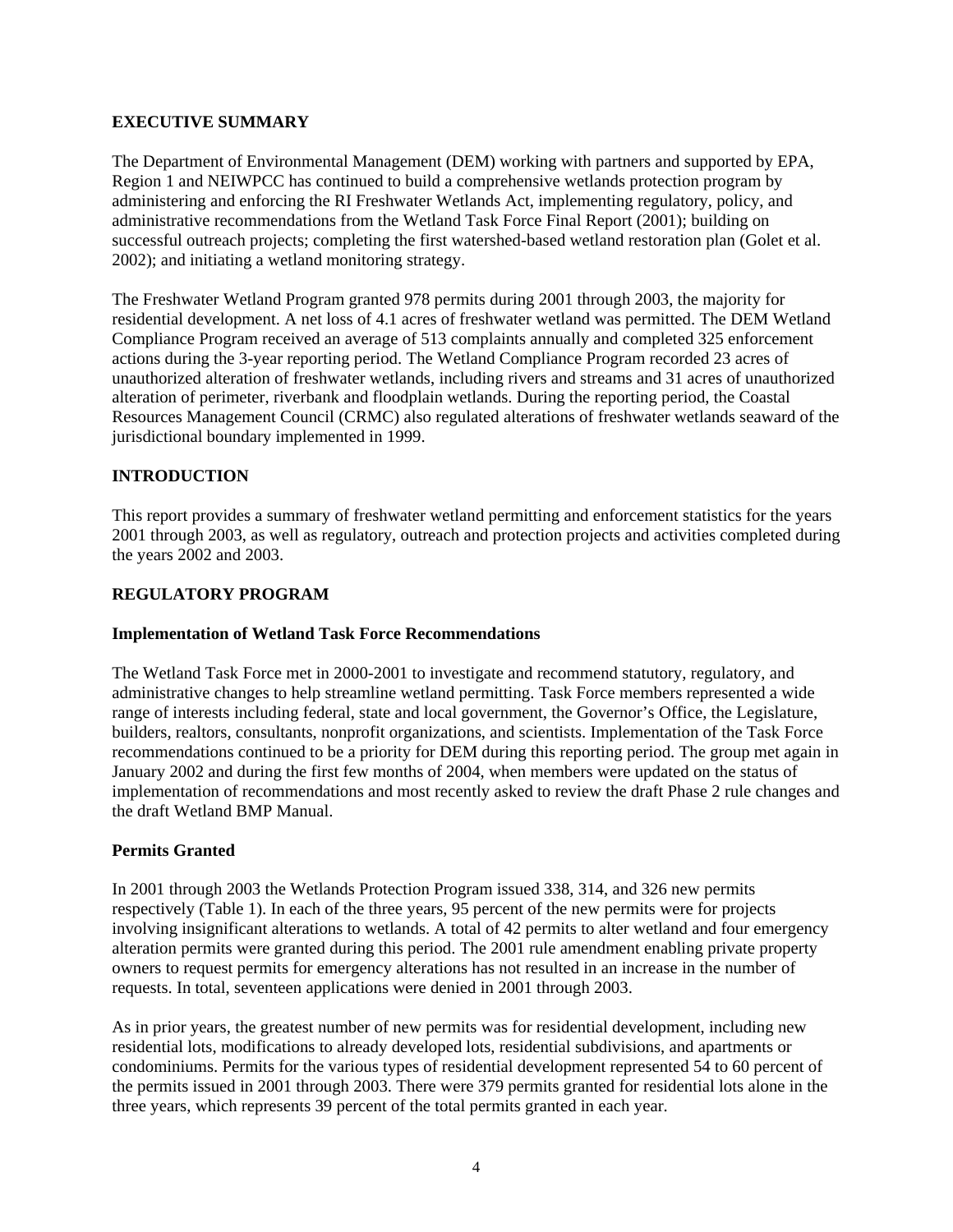#### **EXECUTIVE SUMMARY**

The Department of Environmental Management (DEM) working with partners and supported by EPA, Region 1 and NEIWPCC has continued to build a comprehensive wetlands protection program by administering and enforcing the RI Freshwater Wetlands Act, implementing regulatory, policy, and administrative recommendations from the Wetland Task Force Final Report (2001); building on successful outreach projects; completing the first watershed-based wetland restoration plan (Golet et al. 2002); and initiating a wetland monitoring strategy.

The Freshwater Wetland Program granted 978 permits during 2001 through 2003, the majority for residential development. A net loss of 4.1 acres of freshwater wetland was permitted. The DEM Wetland Compliance Program received an average of 513 complaints annually and completed 325 enforcement actions during the 3-year reporting period. The Wetland Compliance Program recorded 23 acres of unauthorized alteration of freshwater wetlands, including rivers and streams and 31 acres of unauthorized alteration of perimeter, riverbank and floodplain wetlands. During the reporting period, the Coastal Resources Management Council (CRMC) also regulated alterations of freshwater wetlands seaward of the jurisdictional boundary implemented in 1999.

# **INTRODUCTION**

This report provides a summary of freshwater wetland permitting and enforcement statistics for the years 2001 through 2003, as well as regulatory, outreach and protection projects and activities completed during the years 2002 and 2003.

### **REGULATORY PROGRAM**

#### **Implementation of Wetland Task Force Recommendations**

The Wetland Task Force met in 2000-2001 to investigate and recommend statutory, regulatory, and administrative changes to help streamline wetland permitting. Task Force members represented a wide range of interests including federal, state and local government, the Governor's Office, the Legislature, builders, realtors, consultants, nonprofit organizations, and scientists. Implementation of the Task Force recommendations continued to be a priority for DEM during this reporting period. The group met again in January 2002 and during the first few months of 2004, when members were updated on the status of implementation of recommendations and most recently asked to review the draft Phase 2 rule changes and the draft Wetland BMP Manual.

#### **Permits Granted**

In 2001 through 2003 the Wetlands Protection Program issued 338, 314, and 326 new permits respectively (Table 1). In each of the three years, 95 percent of the new permits were for projects involving insignificant alterations to wetlands. A total of 42 permits to alter wetland and four emergency alteration permits were granted during this period. The 2001 rule amendment enabling private property owners to request permits for emergency alterations has not resulted in an increase in the number of requests. In total, seventeen applications were denied in 2001 through 2003.

As in prior years, the greatest number of new permits was for residential development, including new residential lots, modifications to already developed lots, residential subdivisions, and apartments or condominiums. Permits for the various types of residential development represented 54 to 60 percent of the permits issued in 2001 through 2003. There were 379 permits granted for residential lots alone in the three years, which represents 39 percent of the total permits granted in each year.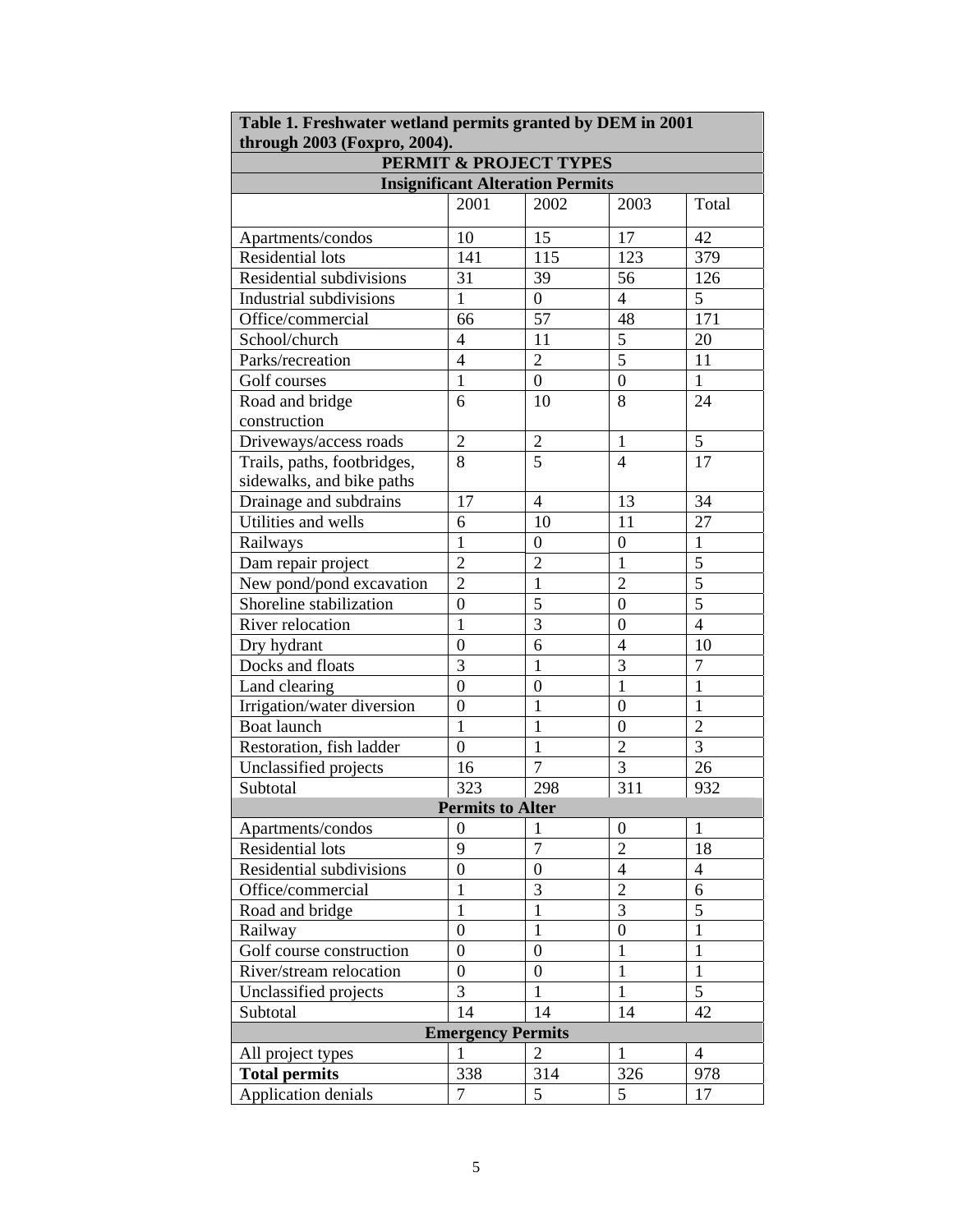| Table 1. Freshwater wetland permits granted by DEM in 2001<br>through 2003 (Foxpro, 2004). |                         |                                   |                          |                          |  |
|--------------------------------------------------------------------------------------------|-------------------------|-----------------------------------|--------------------------|--------------------------|--|
|                                                                                            |                         | <b>PERMIT &amp; PROJECT TYPES</b> |                          |                          |  |
| <b>Insignificant Alteration Permits</b>                                                    |                         |                                   |                          |                          |  |
|                                                                                            | 2001                    | 2002                              | 2003                     | Total                    |  |
| Apartments/condos                                                                          | 10                      | 15                                | 17                       | 42                       |  |
| <b>Residential lots</b>                                                                    | 141                     | 115                               | 123                      | 379                      |  |
| Residential subdivisions                                                                   | 31                      | 39                                | 56                       | 126                      |  |
| Industrial subdivisions                                                                    | 1                       | $\overline{0}$                    | $\overline{4}$           | 5                        |  |
| Office/commercial                                                                          | 66                      | 57                                | 48                       | 171                      |  |
| School/church                                                                              | $\overline{4}$          | 11                                | $\overline{5}$           | 20                       |  |
| Parks/recreation                                                                           | $\overline{4}$          | $\overline{2}$                    | $\overline{5}$           | 11                       |  |
| Golf courses                                                                               | $\mathbf{1}$            | $\boldsymbol{0}$                  | $\boldsymbol{0}$         | 1                        |  |
| Road and bridge<br>construction                                                            | 6                       | 10                                | 8                        | 24                       |  |
| Driveways/access roads                                                                     | $\overline{2}$          | $\overline{2}$                    | $\mathbf{1}$             | 5                        |  |
|                                                                                            | 8                       | $\overline{5}$                    | $\overline{4}$           | 17                       |  |
| Trails, paths, footbridges,<br>sidewalks, and bike paths                                   |                         |                                   |                          |                          |  |
| Drainage and subdrains                                                                     | 17                      | $\overline{4}$                    | 13                       | 34                       |  |
| Utilities and wells                                                                        | 6                       | 10                                | 11                       | 27                       |  |
| Railways                                                                                   | $\mathbf{1}$            | $\overline{0}$                    | $\overline{0}$           | $\mathbf{1}$             |  |
| Dam repair project                                                                         | $\overline{2}$          | $\overline{2}$                    | $\mathbf{1}$             | $\overline{5}$           |  |
| New pond/pond excavation                                                                   | $\overline{2}$          | $\mathbf{1}$                      | $\overline{2}$           | $\overline{5}$           |  |
| Shoreline stabilization                                                                    | $\boldsymbol{0}$        | $\overline{5}$                    | $\boldsymbol{0}$         | $\overline{5}$           |  |
| River relocation                                                                           | $\mathbf{1}$            | 3                                 | $\Omega$                 | $\overline{4}$           |  |
| Dry hydrant                                                                                | $\overline{0}$          | 6                                 | $\overline{4}$           | 10                       |  |
| Docks and floats                                                                           | 3                       | $\mathbf{1}$                      | 3                        | $\overline{7}$           |  |
| Land clearing                                                                              | $\overline{0}$          | $\overline{0}$                    | $\mathbf{1}$             | $\mathbf{1}$             |  |
| Irrigation/water diversion                                                                 | $\boldsymbol{0}$        | $\mathbf 1$                       | $\boldsymbol{0}$         | 1                        |  |
| <b>Boat launch</b>                                                                         | $\mathbf{1}$            | $\mathbf{1}$                      | $\boldsymbol{0}$         | $\overline{2}$           |  |
| Restoration, fish ladder                                                                   | $\overline{0}$          | $\mathbf{1}$                      | $\overline{2}$           | 3                        |  |
| Unclassified projects                                                                      | 16                      | $\overline{7}$                    | $\overline{3}$           | 26                       |  |
| Subtotal                                                                                   | 323                     | 298                               | 311                      | 932                      |  |
|                                                                                            | <b>Permits to Alter</b> |                                   |                          |                          |  |
| Apartments/condos                                                                          | $\boldsymbol{0}$        | $\mathbf{1}$                      | $\boldsymbol{0}$         | 1                        |  |
| <b>Residential lots</b>                                                                    | 9                       | $\overline{7}$                    | $\overline{2}$           | 18                       |  |
| Residential subdivisions                                                                   | $\boldsymbol{0}$        | $\overline{0}$                    | $\overline{\mathcal{L}}$ | $\overline{\mathcal{L}}$ |  |
| Office/commercial                                                                          | 1                       | 3                                 | $\overline{2}$           | 6                        |  |
| Road and bridge                                                                            | $\mathbf{1}$            | $\mathbf{1}$                      | $\overline{3}$           | 5                        |  |
| Railway                                                                                    | $\boldsymbol{0}$        | $\mathbf{1}$                      | $\boldsymbol{0}$         | $\mathbf{1}$             |  |
| Golf course construction                                                                   | $\boldsymbol{0}$        | $\overline{0}$                    | $\mathbf{1}$             | $\mathbf{1}$             |  |
| River/stream relocation                                                                    | $\boldsymbol{0}$        | $\overline{0}$                    | $\mathbf{1}$             | $\mathbf{1}$             |  |
| Unclassified projects                                                                      | 3                       | $\mathbf{1}$                      | $\mathbf{1}$             | 5                        |  |
| Subtotal                                                                                   | 14                      | 14                                | 14                       | 42                       |  |
| <b>Emergency Permits</b>                                                                   |                         |                                   |                          |                          |  |
| All project types                                                                          | 1                       | 2                                 | 1                        | 4                        |  |
| <b>Total permits</b>                                                                       | 338                     | 314                               | 326                      | 978                      |  |
| Application denials                                                                        | $\overline{7}$          | 5                                 | 5                        | 17                       |  |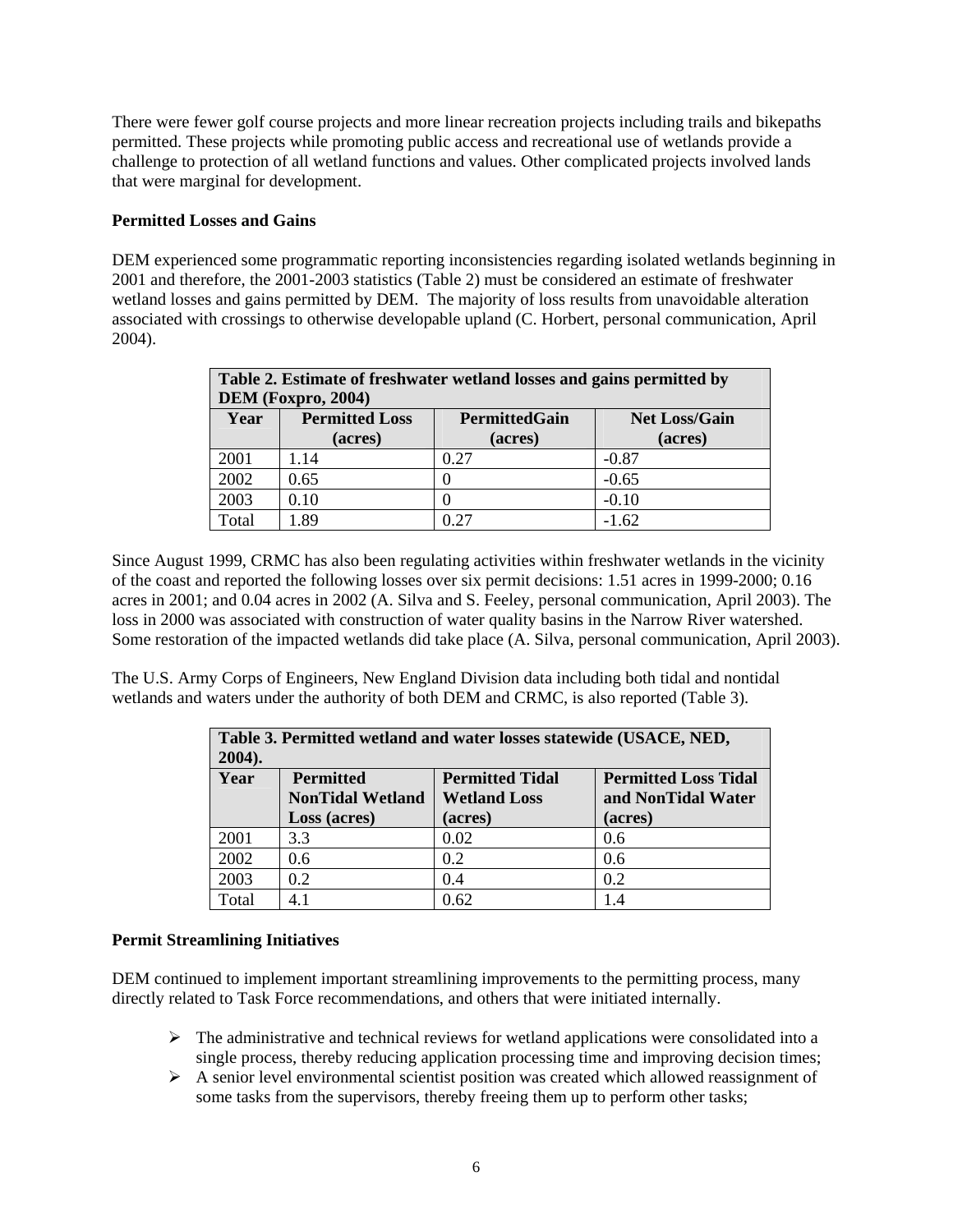There were fewer golf course projects and more linear recreation projects including trails and bikepaths permitted. These projects while promoting public access and recreational use of wetlands provide a challenge to protection of all wetland functions and values. Other complicated projects involved lands that were marginal for development.

#### **Permitted Losses and Gains**

DEM experienced some programmatic reporting inconsistencies regarding isolated wetlands beginning in 2001 and therefore, the 2001-2003 statistics (Table 2) must be considered an estimate of freshwater wetland losses and gains permitted by DEM. The majority of loss results from unavoidable alteration associated with crossings to otherwise developable upland (C. Horbert, personal communication, April 2004).

| Table 2. Estimate of freshwater wetland losses and gains permitted by<br>DEM (Foxpro, 2004) |                                  |                                 |                                 |  |
|---------------------------------------------------------------------------------------------|----------------------------------|---------------------------------|---------------------------------|--|
| Year                                                                                        | <b>Permitted Loss</b><br>(acres) | <b>PermittedGain</b><br>(acres) | <b>Net Loss/Gain</b><br>(acres) |  |
| 2001                                                                                        | 1.14                             | 0.27                            | $-0.87$                         |  |
| 2002                                                                                        | 0.65                             |                                 | $-0.65$                         |  |
| 2003                                                                                        | 0.10                             |                                 | $-0.10$                         |  |
| Total                                                                                       | .89                              | ገ 27                            | $-1.62$                         |  |

Since August 1999, CRMC has also been regulating activities within freshwater wetlands in the vicinity of the coast and reported the following losses over six permit decisions: 1.51 acres in 1999-2000; 0.16 acres in 2001; and 0.04 acres in 2002 (A. Silva and S. Feeley, personal communication, April 2003). The loss in 2000 was associated with construction of water quality basins in the Narrow River watershed. Some restoration of the impacted wetlands did take place (A. Silva, personal communication, April 2003).

The U.S. Army Corps of Engineers, New England Division data including both tidal and nontidal wetlands and waters under the authority of both DEM and CRMC, is also reported (Table 3).

| Table 3. Permitted wetland and water losses statewide (USACE, NED,<br>$2004$ ). |                                             |                                               |                                                   |  |  |
|---------------------------------------------------------------------------------|---------------------------------------------|-----------------------------------------------|---------------------------------------------------|--|--|
| Year                                                                            | <b>Permitted</b><br><b>NonTidal Wetland</b> | <b>Permitted Tidal</b><br><b>Wetland Loss</b> | <b>Permitted Loss Tidal</b><br>and NonTidal Water |  |  |
|                                                                                 | Loss (acres)                                | (acres)                                       | (acres)                                           |  |  |
| 2001                                                                            | 3.3                                         | 0.02                                          | 0.6                                               |  |  |
| 2002                                                                            | 0.6                                         | 0.2                                           | 0.6                                               |  |  |
| 2003                                                                            | 0.2                                         | 0.4                                           | 0.2                                               |  |  |
| Total                                                                           | 4.1                                         | 0.62                                          |                                                   |  |  |

#### **Permit Streamlining Initiatives**

DEM continued to implement important streamlining improvements to the permitting process, many directly related to Task Force recommendations, and others that were initiated internally.

- $\triangleright$  The administrative and technical reviews for wetland applications were consolidated into a single process, thereby reducing application processing time and improving decision times;
- ¾ A senior level environmental scientist position was created which allowed reassignment of some tasks from the supervisors, thereby freeing them up to perform other tasks;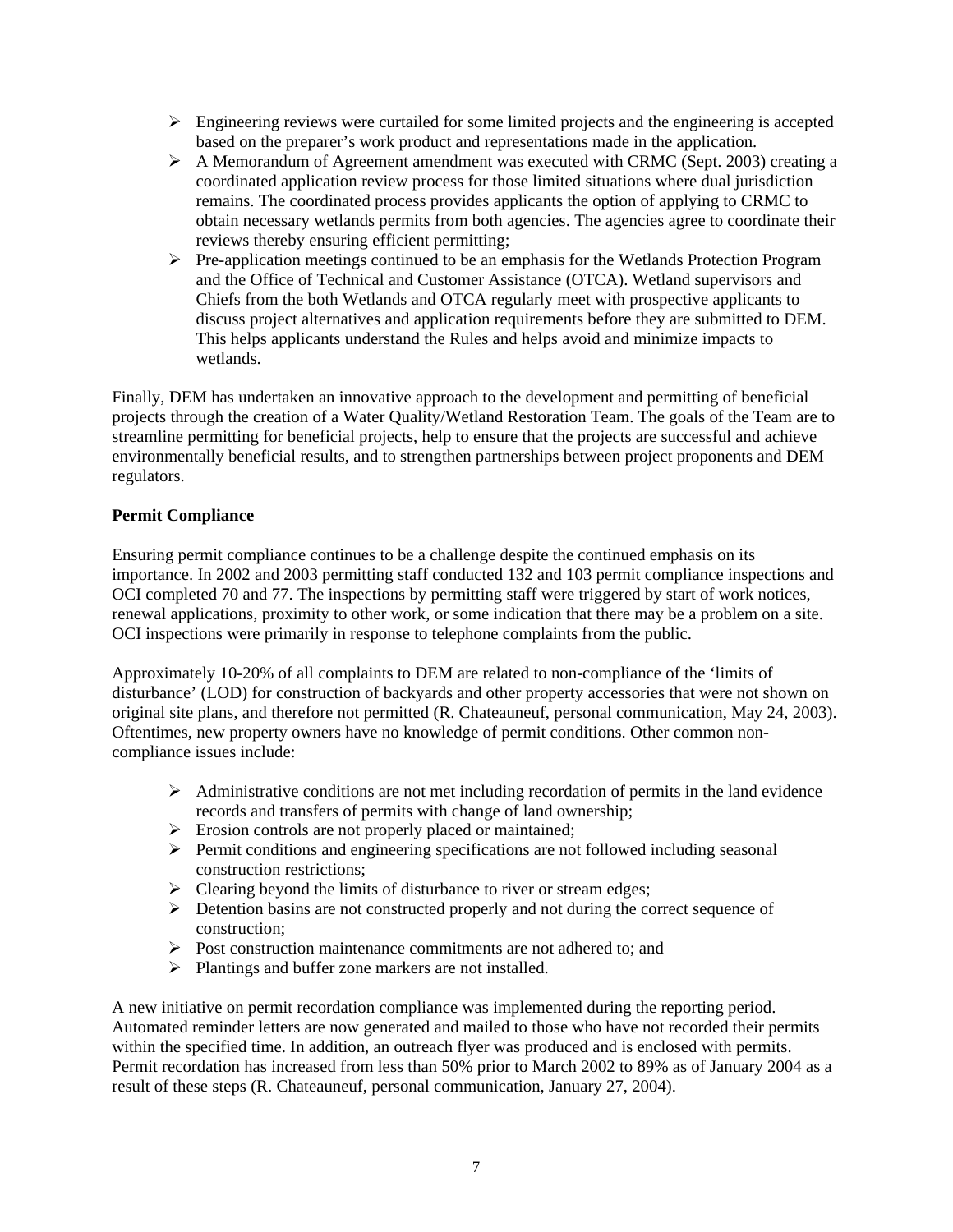- $\triangleright$  Engineering reviews were curtailed for some limited projects and the engineering is accepted based on the preparer's work product and representations made in the application.
- $\triangleright$  A Memorandum of Agreement amendment was executed with CRMC (Sept. 2003) creating a coordinated application review process for those limited situations where dual jurisdiction remains. The coordinated process provides applicants the option of applying to CRMC to obtain necessary wetlands permits from both agencies. The agencies agree to coordinate their reviews thereby ensuring efficient permitting;
- $\triangleright$  Pre-application meetings continued to be an emphasis for the Wetlands Protection Program and the Office of Technical and Customer Assistance (OTCA). Wetland supervisors and Chiefs from the both Wetlands and OTCA regularly meet with prospective applicants to discuss project alternatives and application requirements before they are submitted to DEM. This helps applicants understand the Rules and helps avoid and minimize impacts to wetlands.

Finally, DEM has undertaken an innovative approach to the development and permitting of beneficial projects through the creation of a Water Quality/Wetland Restoration Team. The goals of the Team are to streamline permitting for beneficial projects, help to ensure that the projects are successful and achieve environmentally beneficial results, and to strengthen partnerships between project proponents and DEM regulators.

### **Permit Compliance**

Ensuring permit compliance continues to be a challenge despite the continued emphasis on its importance. In 2002 and 2003 permitting staff conducted 132 and 103 permit compliance inspections and OCI completed 70 and 77. The inspections by permitting staff were triggered by start of work notices, renewal applications, proximity to other work, or some indication that there may be a problem on a site. OCI inspections were primarily in response to telephone complaints from the public.

Approximately 10-20% of all complaints to DEM are related to non-compliance of the 'limits of disturbance' (LOD) for construction of backyards and other property accessories that were not shown on original site plans, and therefore not permitted (R. Chateauneuf, personal communication, May 24, 2003). Oftentimes, new property owners have no knowledge of permit conditions. Other common noncompliance issues include:

- $\triangleright$  Administrative conditions are not met including recordation of permits in the land evidence records and transfers of permits with change of land ownership;
- ¾ Erosion controls are not properly placed or maintained;
- $\triangleright$  Permit conditions and engineering specifications are not followed including seasonal construction restrictions;
- $\triangleright$  Clearing beyond the limits of disturbance to river or stream edges;
- $\triangleright$  Detention basins are not constructed properly and not during the correct sequence of construction;
- $\triangleright$  Post construction maintenance commitments are not adhered to; and
- ¾ Plantings and buffer zone markers are not installed.

A new initiative on permit recordation compliance was implemented during the reporting period. Automated reminder letters are now generated and mailed to those who have not recorded their permits within the specified time. In addition, an outreach flyer was produced and is enclosed with permits. Permit recordation has increased from less than 50% prior to March 2002 to 89% as of January 2004 as a result of these steps (R. Chateauneuf, personal communication, January 27, 2004).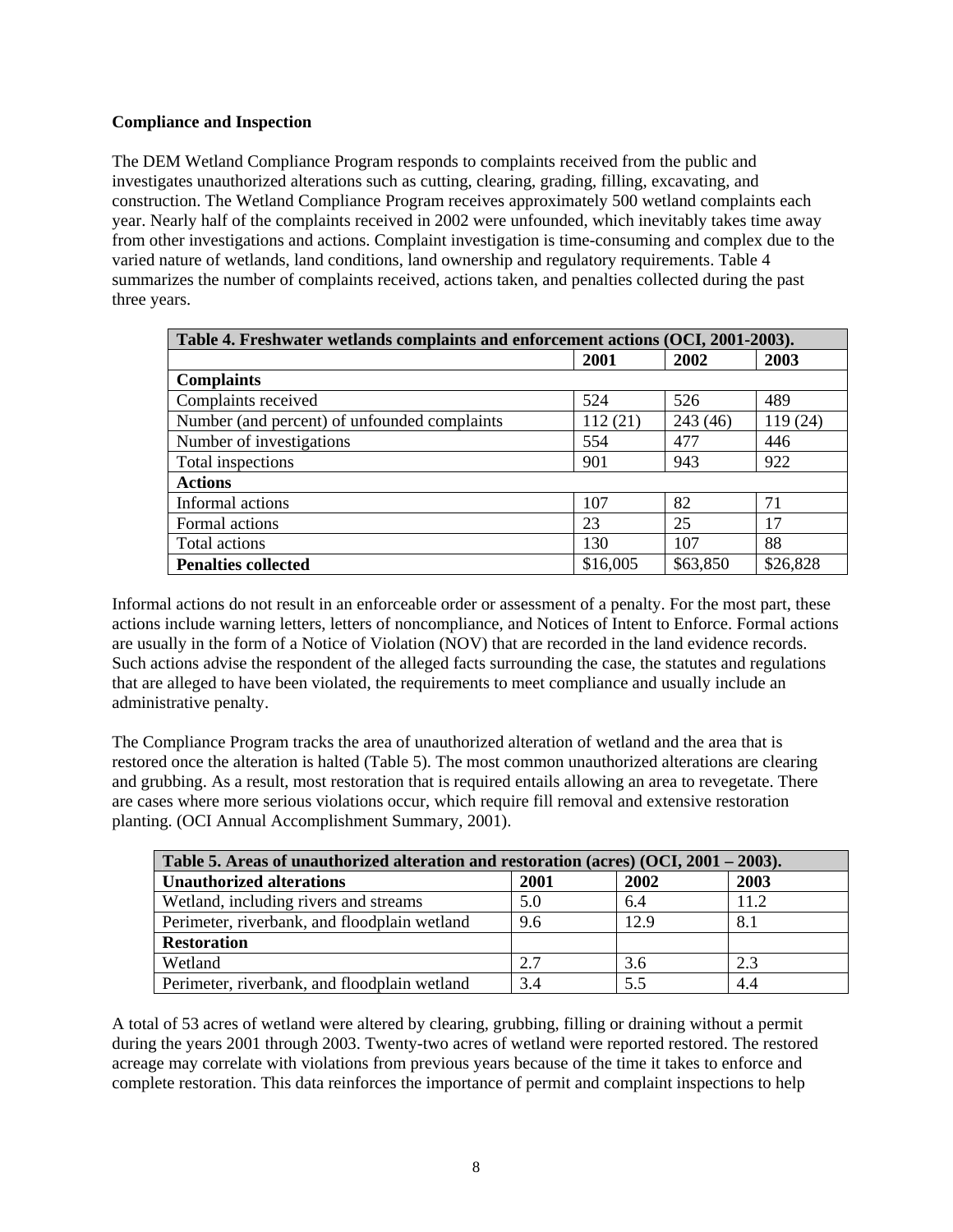### **Compliance and Inspection**

The DEM Wetland Compliance Program responds to complaints received from the public and investigates unauthorized alterations such as cutting, clearing, grading, filling, excavating, and construction. The Wetland Compliance Program receives approximately 500 wetland complaints each year. Nearly half of the complaints received in 2002 were unfounded, which inevitably takes time away from other investigations and actions. Complaint investigation is time-consuming and complex due to the varied nature of wetlands, land conditions, land ownership and regulatory requirements. Table 4 summarizes the number of complaints received, actions taken, and penalties collected during the past three years.

| Table 4. Freshwater wetlands complaints and enforcement actions (OCI, 2001-2003). |                                  |         |         |  |  |  |
|-----------------------------------------------------------------------------------|----------------------------------|---------|---------|--|--|--|
| 2003<br>2001<br>2002                                                              |                                  |         |         |  |  |  |
| <b>Complaints</b>                                                                 |                                  |         |         |  |  |  |
| Complaints received                                                               | 524                              | 526     | 489     |  |  |  |
| Number (and percent) of unfounded complaints                                      | 112(21)                          | 243(46) | 119(24) |  |  |  |
| Number of investigations                                                          | 554                              | 477     | 446     |  |  |  |
| Total inspections                                                                 | 901                              | 943     | 922     |  |  |  |
| <b>Actions</b>                                                                    |                                  |         |         |  |  |  |
| Informal actions                                                                  | 107                              | 82      | 71      |  |  |  |
| Formal actions                                                                    | 23                               | 25      | 17      |  |  |  |
| Total actions                                                                     | 130                              | 107     | 88      |  |  |  |
| <b>Penalties collected</b>                                                        | \$16,005<br>\$63,850<br>\$26,828 |         |         |  |  |  |

Informal actions do not result in an enforceable order or assessment of a penalty. For the most part, these actions include warning letters, letters of noncompliance, and Notices of Intent to Enforce. Formal actions are usually in the form of a Notice of Violation (NOV) that are recorded in the land evidence records. Such actions advise the respondent of the alleged facts surrounding the case, the statutes and regulations that are alleged to have been violated, the requirements to meet compliance and usually include an administrative penalty.

The Compliance Program tracks the area of unauthorized alteration of wetland and the area that is restored once the alteration is halted (Table 5). The most common unauthorized alterations are clearing and grubbing. As a result, most restoration that is required entails allowing an area to revegetate. There are cases where more serious violations occur, which require fill removal and extensive restoration planting. (OCI Annual Accomplishment Summary, 2001).

| Table 5. Areas of unauthorized alteration and restoration (acres) (OCI, $2001 - 2003$ ). |      |      |      |  |
|------------------------------------------------------------------------------------------|------|------|------|--|
| <b>Unauthorized alterations</b>                                                          | 2001 | 2002 | 2003 |  |
| Wetland, including rivers and streams                                                    | 5.0  | 6.4  | 11.2 |  |
| Perimeter, riverbank, and floodplain wetland                                             | 9.6  | 12.9 | 8.1  |  |
| <b>Restoration</b>                                                                       |      |      |      |  |
| Wetland                                                                                  | 2.7  | 3.6  | 2.3  |  |
| Perimeter, riverbank, and floodplain wetland                                             | 3.4  | 5.5  | 4.4  |  |

A total of 53 acres of wetland were altered by clearing, grubbing, filling or draining without a permit during the years 2001 through 2003. Twenty-two acres of wetland were reported restored. The restored acreage may correlate with violations from previous years because of the time it takes to enforce and complete restoration. This data reinforces the importance of permit and complaint inspections to help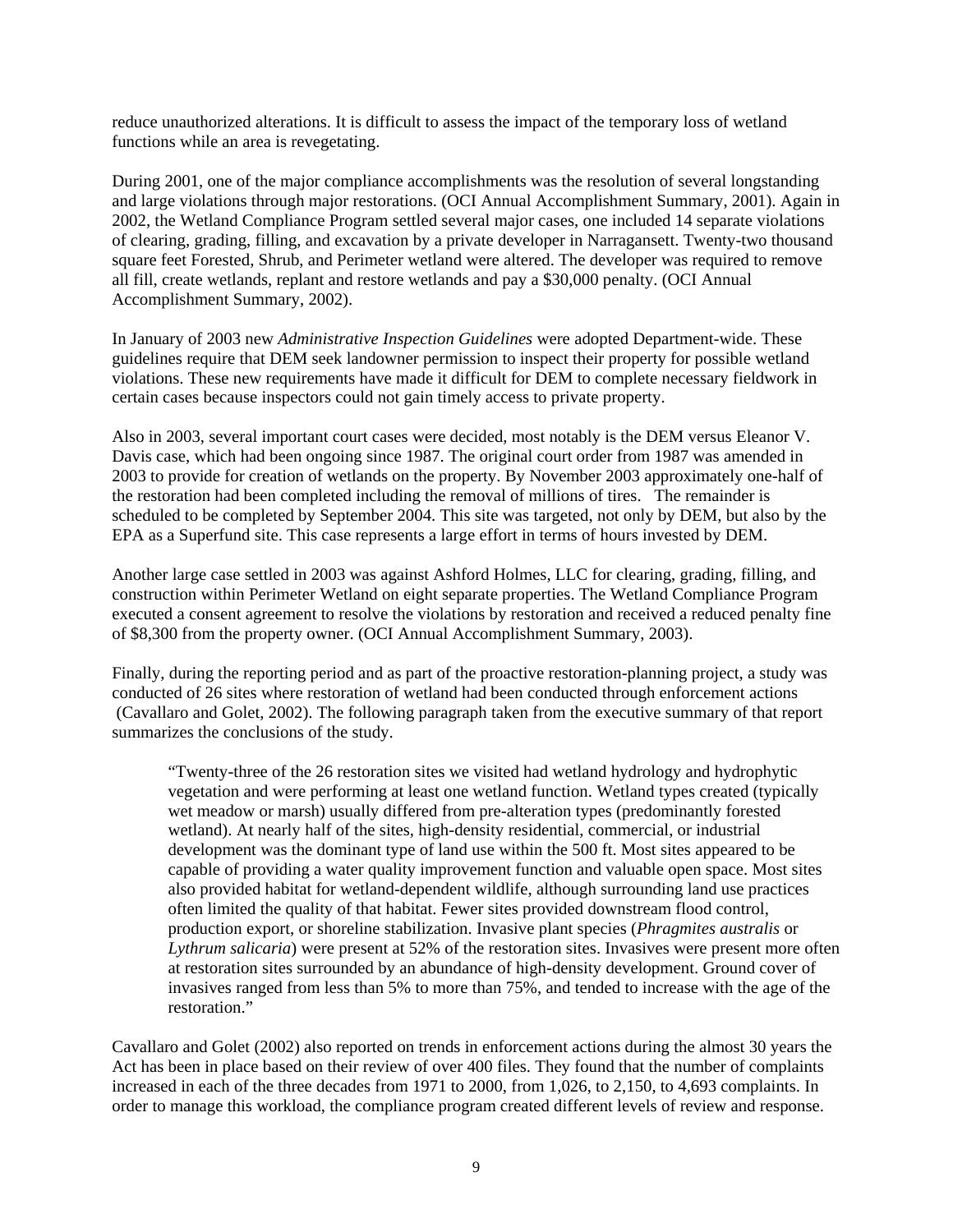reduce unauthorized alterations. It is difficult to assess the impact of the temporary loss of wetland functions while an area is revegetating.

During 2001, one of the major compliance accomplishments was the resolution of several longstanding and large violations through major restorations. (OCI Annual Accomplishment Summary, 2001). Again in 2002, the Wetland Compliance Program settled several major cases, one included 14 separate violations of clearing, grading, filling, and excavation by a private developer in Narragansett. Twenty-two thousand square feet Forested, Shrub, and Perimeter wetland were altered. The developer was required to remove all fill, create wetlands, replant and restore wetlands and pay a \$30,000 penalty. (OCI Annual Accomplishment Summary, 2002).

In January of 2003 new *Administrative Inspection Guidelines* were adopted Department-wide. These guidelines require that DEM seek landowner permission to inspect their property for possible wetland violations. These new requirements have made it difficult for DEM to complete necessary fieldwork in certain cases because inspectors could not gain timely access to private property.

Also in 2003, several important court cases were decided, most notably is the DEM versus Eleanor V. Davis case, which had been ongoing since 1987. The original court order from 1987 was amended in 2003 to provide for creation of wetlands on the property. By November 2003 approximately one-half of the restoration had been completed including the removal of millions of tires. The remainder is scheduled to be completed by September 2004. This site was targeted, not only by DEM, but also by the EPA as a Superfund site. This case represents a large effort in terms of hours invested by DEM.

Another large case settled in 2003 was against Ashford Holmes, LLC for clearing, grading, filling, and construction within Perimeter Wetland on eight separate properties. The Wetland Compliance Program executed a consent agreement to resolve the violations by restoration and received a reduced penalty fine of \$8,300 from the property owner. (OCI Annual Accomplishment Summary, 2003).

Finally, during the reporting period and as part of the proactive restoration-planning project, a study was conducted of 26 sites where restoration of wetland had been conducted through enforcement actions (Cavallaro and Golet, 2002). The following paragraph taken from the executive summary of that report summarizes the conclusions of the study.

"Twenty-three of the 26 restoration sites we visited had wetland hydrology and hydrophytic vegetation and were performing at least one wetland function. Wetland types created (typically wet meadow or marsh) usually differed from pre-alteration types (predominantly forested wetland). At nearly half of the sites, high-density residential, commercial, or industrial development was the dominant type of land use within the 500 ft. Most sites appeared to be capable of providing a water quality improvement function and valuable open space. Most sites also provided habitat for wetland-dependent wildlife, although surrounding land use practices often limited the quality of that habitat. Fewer sites provided downstream flood control, production export, or shoreline stabilization. Invasive plant species (*Phragmites australis* or *Lythrum salicaria*) were present at 52% of the restoration sites. Invasives were present more often at restoration sites surrounded by an abundance of high-density development. Ground cover of invasives ranged from less than 5% to more than 75%, and tended to increase with the age of the restoration"

Cavallaro and Golet (2002) also reported on trends in enforcement actions during the almost 30 years the Act has been in place based on their review of over 400 files. They found that the number of complaints increased in each of the three decades from 1971 to 2000, from 1,026, to 2,150, to 4,693 complaints. In order to manage this workload, the compliance program created different levels of review and response.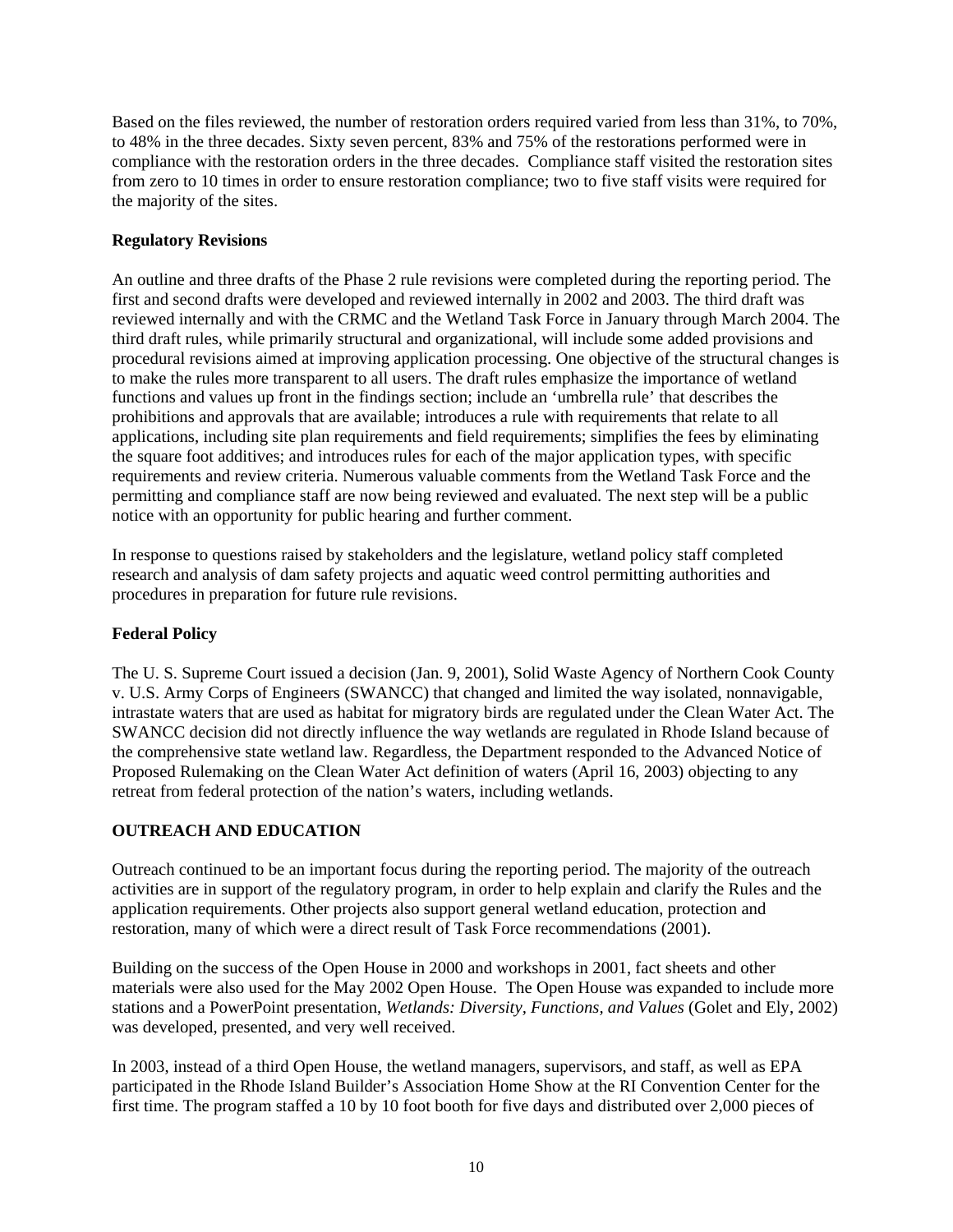Based on the files reviewed, the number of restoration orders required varied from less than 31%, to 70%, to 48% in the three decades. Sixty seven percent, 83% and 75% of the restorations performed were in compliance with the restoration orders in the three decades. Compliance staff visited the restoration sites from zero to 10 times in order to ensure restoration compliance; two to five staff visits were required for the majority of the sites.

## **Regulatory Revisions**

An outline and three drafts of the Phase 2 rule revisions were completed during the reporting period. The first and second drafts were developed and reviewed internally in 2002 and 2003. The third draft was reviewed internally and with the CRMC and the Wetland Task Force in January through March 2004. The third draft rules, while primarily structural and organizational, will include some added provisions and procedural revisions aimed at improving application processing. One objective of the structural changes is to make the rules more transparent to all users. The draft rules emphasize the importance of wetland functions and values up front in the findings section; include an 'umbrella rule' that describes the prohibitions and approvals that are available; introduces a rule with requirements that relate to all applications, including site plan requirements and field requirements; simplifies the fees by eliminating the square foot additives; and introduces rules for each of the major application types, with specific requirements and review criteria. Numerous valuable comments from the Wetland Task Force and the permitting and compliance staff are now being reviewed and evaluated. The next step will be a public notice with an opportunity for public hearing and further comment.

In response to questions raised by stakeholders and the legislature, wetland policy staff completed research and analysis of dam safety projects and aquatic weed control permitting authorities and procedures in preparation for future rule revisions.

# **Federal Policy**

The U. S. Supreme Court issued a decision (Jan. 9, 2001), Solid Waste Agency of Northern Cook County v. U.S. Army Corps of Engineers (SWANCC) that changed and limited the way isolated, nonnavigable, intrastate waters that are used as habitat for migratory birds are regulated under the Clean Water Act. The SWANCC decision did not directly influence the way wetlands are regulated in Rhode Island because of the comprehensive state wetland law. Regardless, the Department responded to the Advanced Notice of Proposed Rulemaking on the Clean Water Act definition of waters (April 16, 2003) objecting to any retreat from federal protection of the nation's waters, including wetlands.

# **OUTREACH AND EDUCATION**

Outreach continued to be an important focus during the reporting period. The majority of the outreach activities are in support of the regulatory program, in order to help explain and clarify the Rules and the application requirements. Other projects also support general wetland education, protection and restoration, many of which were a direct result of Task Force recommendations (2001).

Building on the success of the Open House in 2000 and workshops in 2001, fact sheets and other materials were also used for the May 2002 Open House. The Open House was expanded to include more stations and a PowerPoint presentation, *Wetlands: Diversity, Functions, and Values* (Golet and Ely, 2002) was developed, presented, and very well received.

In 2003, instead of a third Open House, the wetland managers, supervisors, and staff, as well as EPA participated in the Rhode Island Builder's Association Home Show at the RI Convention Center for the first time. The program staffed a 10 by 10 foot booth for five days and distributed over 2,000 pieces of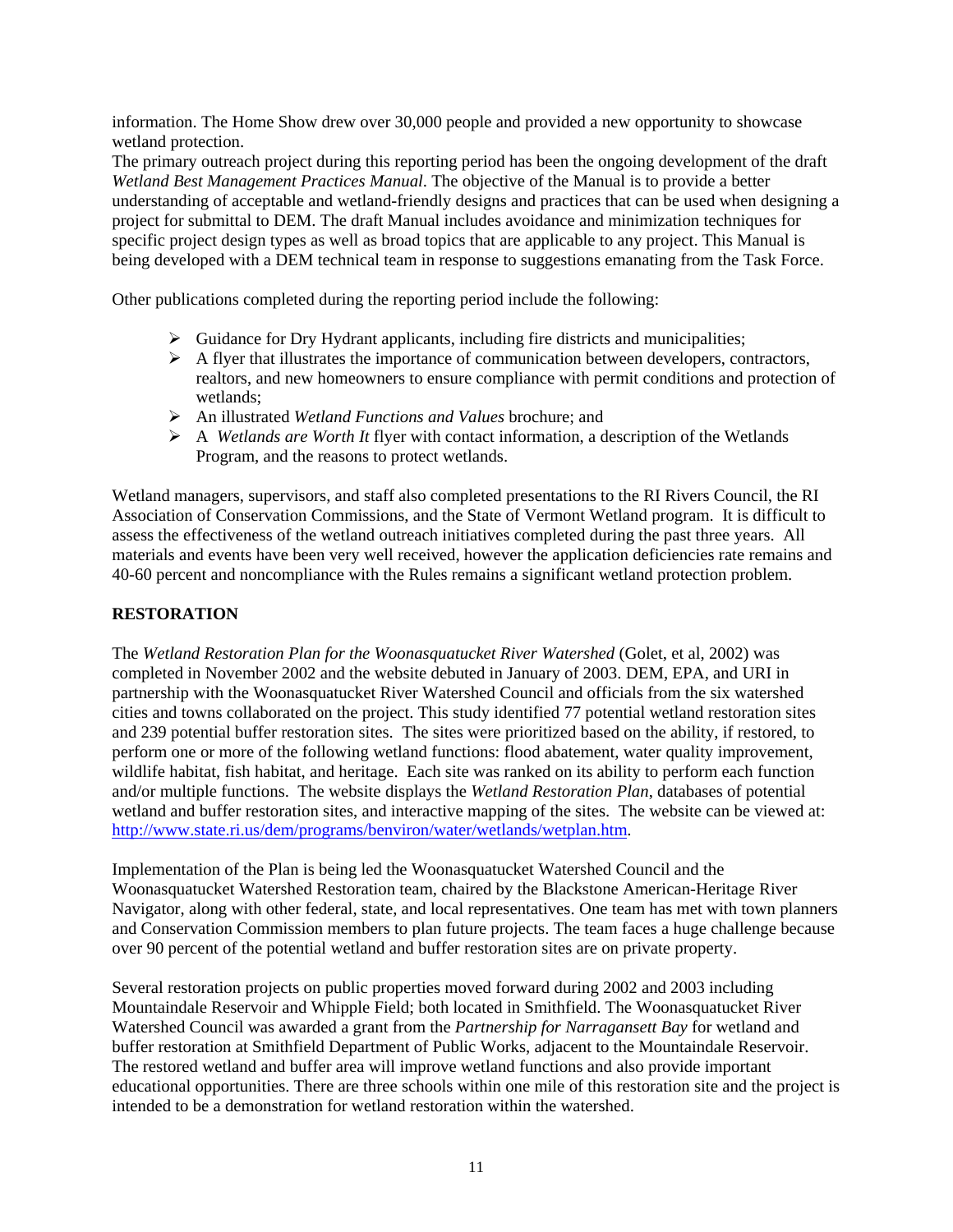information. The Home Show drew over 30,000 people and provided a new opportunity to showcase wetland protection.

The primary outreach project during this reporting period has been the ongoing development of the draft *Wetland Best Management Practices Manual*. The objective of the Manual is to provide a better understanding of acceptable and wetland-friendly designs and practices that can be used when designing a project for submittal to DEM. The draft Manual includes avoidance and minimization techniques for specific project design types as well as broad topics that are applicable to any project. This Manual is being developed with a DEM technical team in response to suggestions emanating from the Task Force.

Other publications completed during the reporting period include the following:

- $\triangleright$  Guidance for Dry Hydrant applicants, including fire districts and municipalities;
- $\triangleright$  A flyer that illustrates the importance of communication between developers, contractors, realtors, and new homeowners to ensure compliance with permit conditions and protection of wetlands;
- ¾ An illustrated *Wetland Functions and Values* brochure; and
- ¾ A *Wetlands are Worth It* flyer with contact information, a description of the Wetlands Program, and the reasons to protect wetlands.

Wetland managers, supervisors, and staff also completed presentations to the RI Rivers Council, the RI Association of Conservation Commissions, and the State of Vermont Wetland program. It is difficult to assess the effectiveness of the wetland outreach initiatives completed during the past three years. All materials and events have been very well received, however the application deficiencies rate remains and 40-60 percent and noncompliance with the Rules remains a significant wetland protection problem.

#### **RESTORATION**

The *Wetland Restoration Plan for the Woonasquatucket River Watershed* (Golet, et al, 2002) was completed in November 2002 and the website debuted in January of 2003. DEM, EPA, and URI in partnership with the Woonasquatucket River Watershed Council and officials from the six watershed cities and towns collaborated on the project. This study identified 77 potential wetland restoration sites and 239 potential buffer restoration sites. The sites were prioritized based on the ability, if restored, to perform one or more of the following wetland functions: flood abatement, water quality improvement, wildlife habitat, fish habitat, and heritage. Each site was ranked on its ability to perform each function and/or multiple functions. The website displays the *Wetland Restoration Plan*, databases of potential wetland and buffer restoration sites, and interactive mapping of the sites. The website can be viewed at: <http://www.state.ri.us/dem/programs/benviron/water/wetlands/wetplan.htm>.

Implementation of the Plan is being led the Woonasquatucket Watershed Council and the Woonasquatucket Watershed Restoration team, chaired by the Blackstone American-Heritage River Navigator, along with other federal, state, and local representatives. One team has met with town planners and Conservation Commission members to plan future projects. The team faces a huge challenge because over 90 percent of the potential wetland and buffer restoration sites are on private property.

Several restoration projects on public properties moved forward during 2002 and 2003 including Mountaindale Reservoir and Whipple Field; both located in Smithfield. The Woonasquatucket River Watershed Council was awarded a grant from the *Partnership for Narragansett Bay* for wetland and buffer restoration at Smithfield Department of Public Works, adjacent to the Mountaindale Reservoir. The restored wetland and buffer area will improve wetland functions and also provide important educational opportunities. There are three schools within one mile of this restoration site and the project is intended to be a demonstration for wetland restoration within the watershed.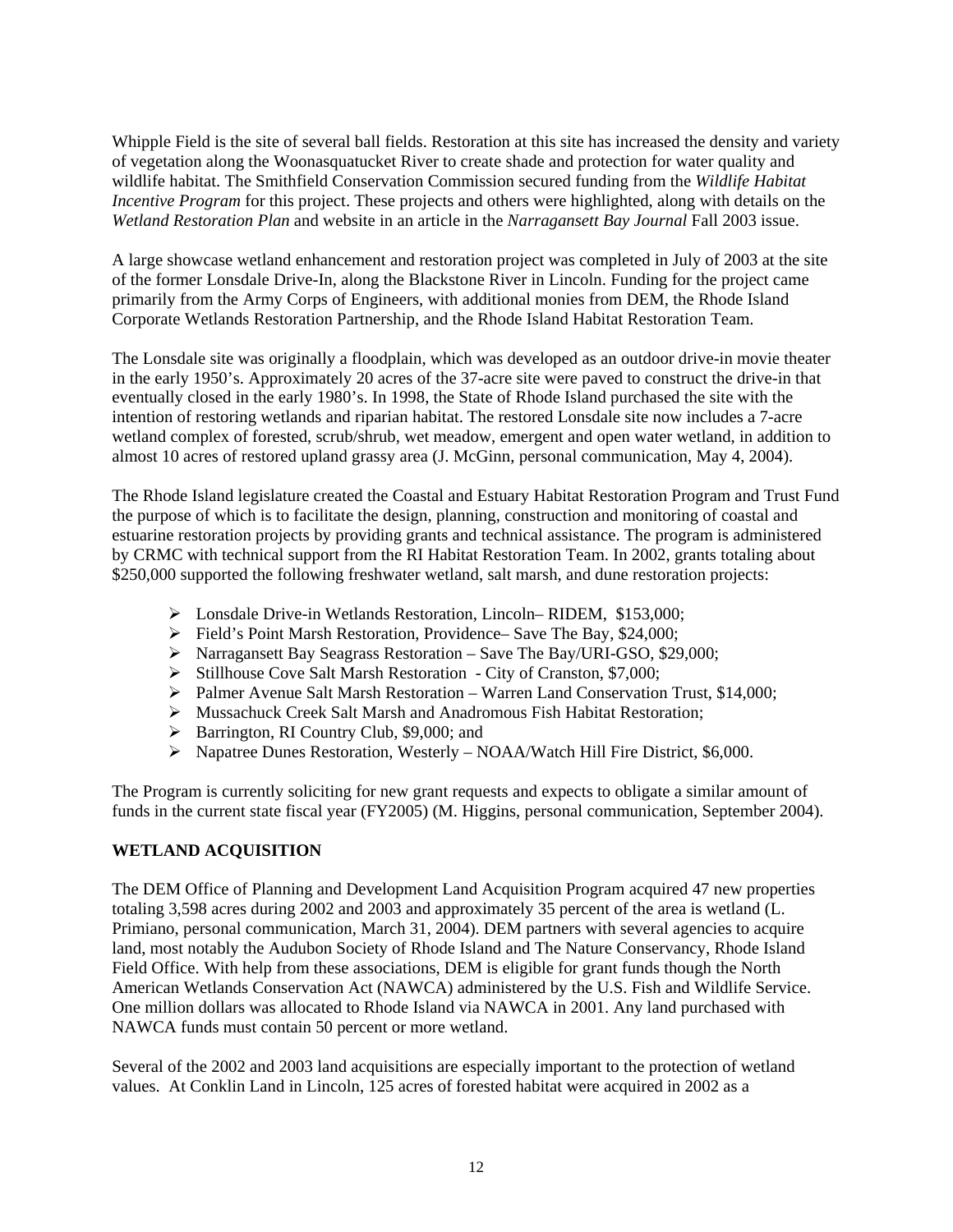Whipple Field is the site of several ball fields. Restoration at this site has increased the density and variety of vegetation along the Woonasquatucket River to create shade and protection for water quality and wildlife habitat. The Smithfield Conservation Commission secured funding from the *Wildlife Habitat Incentive Program* for this project. These projects and others were highlighted, along with details on the *Wetland Restoration Plan* and website in an article in the *Narragansett Bay Journal* Fall 2003 issue.

A large showcase wetland enhancement and restoration project was completed in July of 2003 at the site of the former Lonsdale Drive-In, along the Blackstone River in Lincoln. Funding for the project came primarily from the Army Corps of Engineers, with additional monies from DEM, the Rhode Island Corporate Wetlands Restoration Partnership, and the Rhode Island Habitat Restoration Team.

The Lonsdale site was originally a floodplain, which was developed as an outdoor drive-in movie theater in the early 1950's. Approximately 20 acres of the 37-acre site were paved to construct the drive-in that eventually closed in the early 1980's. In 1998, the State of Rhode Island purchased the site with the intention of restoring wetlands and riparian habitat. The restored Lonsdale site now includes a 7-acre wetland complex of forested, scrub/shrub, wet meadow, emergent and open water wetland, in addition to almost 10 acres of restored upland grassy area (J. McGinn, personal communication, May 4, 2004).

The Rhode Island legislature created the Coastal and Estuary Habitat Restoration Program and Trust Fund the purpose of which is to facilitate the design, planning, construction and monitoring of coastal and estuarine restoration projects by providing grants and technical assistance. The program is administered by CRMC with technical support from the RI Habitat Restoration Team. In 2002, grants totaling about \$250,000 supported the following freshwater wetland, salt marsh, and dune restoration projects:

- ¾ Lonsdale Drive-in Wetlands Restoration, Lincoln– RIDEM, \$153,000;
- ¾ Field's Point Marsh Restoration, Providence– Save The Bay, \$24,000;
- ¾ Narragansett Bay Seagrass Restoration Save The Bay/URI-GSO, \$29,000;
- ¾ Stillhouse Cove Salt Marsh Restoration City of Cranston, \$7,000;
- ¾ Palmer Avenue Salt Marsh Restoration Warren Land Conservation Trust, \$14,000;
- ¾ Mussachuck Creek Salt Marsh and Anadromous Fish Habitat Restoration;
- $\triangleright$  Barrington, RI Country Club, \$9,000; and
- ¾ Napatree Dunes Restoration, Westerly NOAA/Watch Hill Fire District, \$6,000.

The Program is currently soliciting for new grant requests and expects to obligate a similar amount of funds in the current state fiscal year (FY2005) (M. Higgins, personal communication, September 2004).

# **WETLAND ACQUISITION**

The DEM Office of Planning and Development Land Acquisition Program acquired 47 new properties totaling 3,598 acres during 2002 and 2003 and approximately 35 percent of the area is wetland (L. Primiano, personal communication, March 31, 2004). DEM partners with several agencies to acquire land, most notably the Audubon Society of Rhode Island and The Nature Conservancy, Rhode Island Field Office. With help from these associations, DEM is eligible for grant funds though the North American Wetlands Conservation Act (NAWCA) administered by the U.S. Fish and Wildlife Service. One million dollars was allocated to Rhode Island via NAWCA in 2001. Any land purchased with NAWCA funds must contain 50 percent or more wetland.

Several of the 2002 and 2003 land acquisitions are especially important to the protection of wetland values. At Conklin Land in Lincoln, 125 acres of forested habitat were acquired in 2002 as a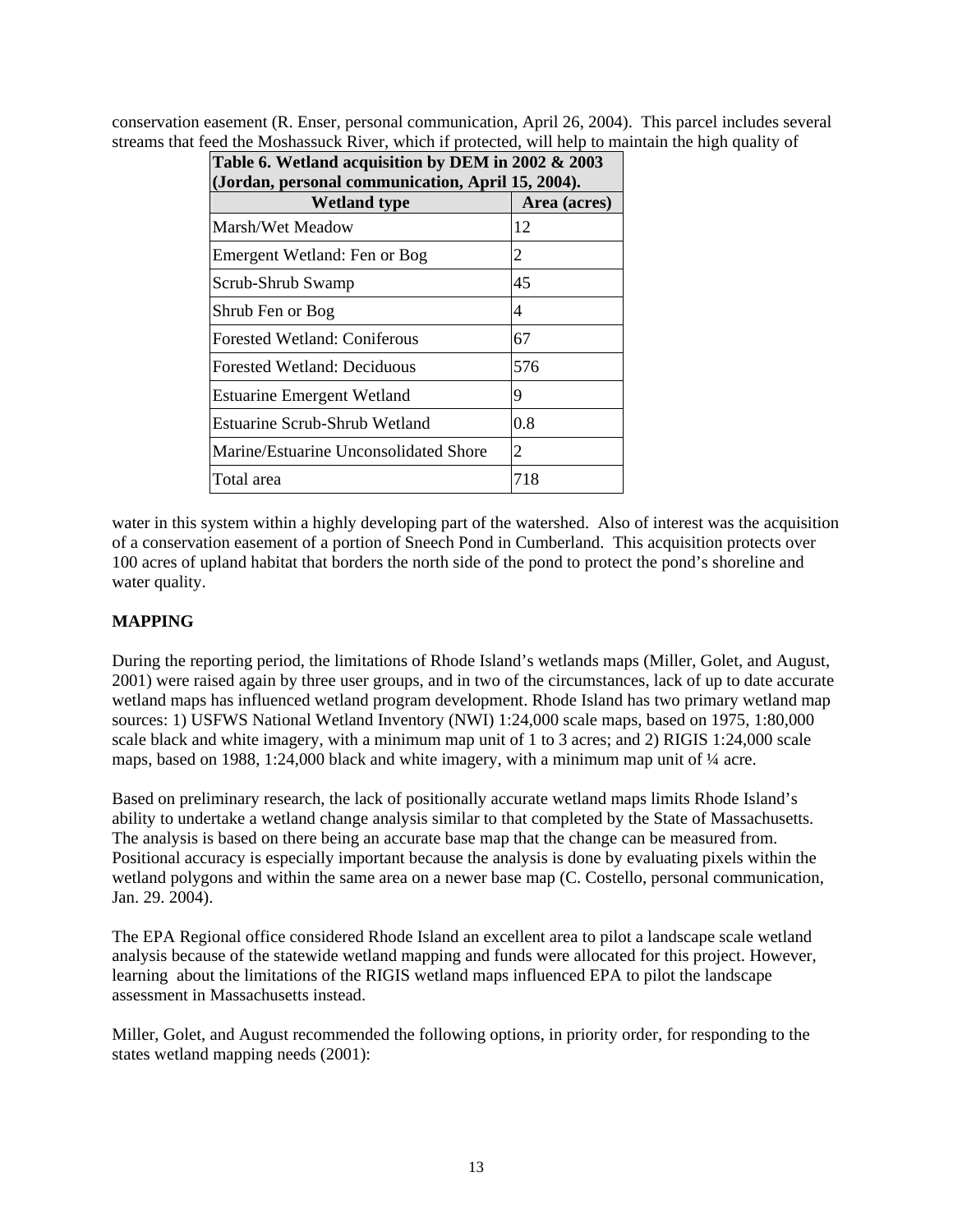conservation easement (R. Enser, personal communication, April 26, 2004). This parcel includes several streams that feed the Moshassuck River, which if protected, will help to maintain the high quality of

| Table 6. Wetland acquisition by DEM in 2002 & 2003 |  |  |  |
|----------------------------------------------------|--|--|--|
| (Jordan, personal communication, April 15, 2004).  |  |  |  |
| Area (acres)                                       |  |  |  |
| 12                                                 |  |  |  |
| 2                                                  |  |  |  |
| 45                                                 |  |  |  |
| 4                                                  |  |  |  |
| 67                                                 |  |  |  |
| 576                                                |  |  |  |
| 9                                                  |  |  |  |
| 0.8                                                |  |  |  |
| 2                                                  |  |  |  |
| 718                                                |  |  |  |
|                                                    |  |  |  |

water in this system within a highly developing part of the watershed. Also of interest was the acquisition of a conservation easement of a portion of Sneech Pond in Cumberland. This acquisition protects over 100 acres of upland habitat that borders the north side of the pond to protect the pond's shoreline and water quality.

## **MAPPING**

During the reporting period, the limitations of Rhode Island's wetlands maps (Miller, Golet, and August, 2001) were raised again by three user groups, and in two of the circumstances, lack of up to date accurate wetland maps has influenced wetland program development. Rhode Island has two primary wetland map sources: 1) USFWS National Wetland Inventory (NWI) 1:24,000 scale maps, based on 1975, 1:80,000 scale black and white imagery, with a minimum map unit of 1 to 3 acres; and 2) RIGIS 1:24,000 scale maps, based on 1988, 1:24,000 black and white imagery, with a minimum map unit of  $\frac{1}{4}$  acre.

Based on preliminary research, the lack of positionally accurate wetland maps limits Rhode Island's ability to undertake a wetland change analysis similar to that completed by the State of Massachusetts. The analysis is based on there being an accurate base map that the change can be measured from. Positional accuracy is especially important because the analysis is done by evaluating pixels within the wetland polygons and within the same area on a newer base map (C. Costello, personal communication, Jan. 29. 2004).

The EPA Regional office considered Rhode Island an excellent area to pilot a landscape scale wetland analysis because of the statewide wetland mapping and funds were allocated for this project. However, learning about the limitations of the RIGIS wetland maps influenced EPA to pilot the landscape assessment in Massachusetts instead.

Miller, Golet, and August recommended the following options, in priority order, for responding to the states wetland mapping needs (2001):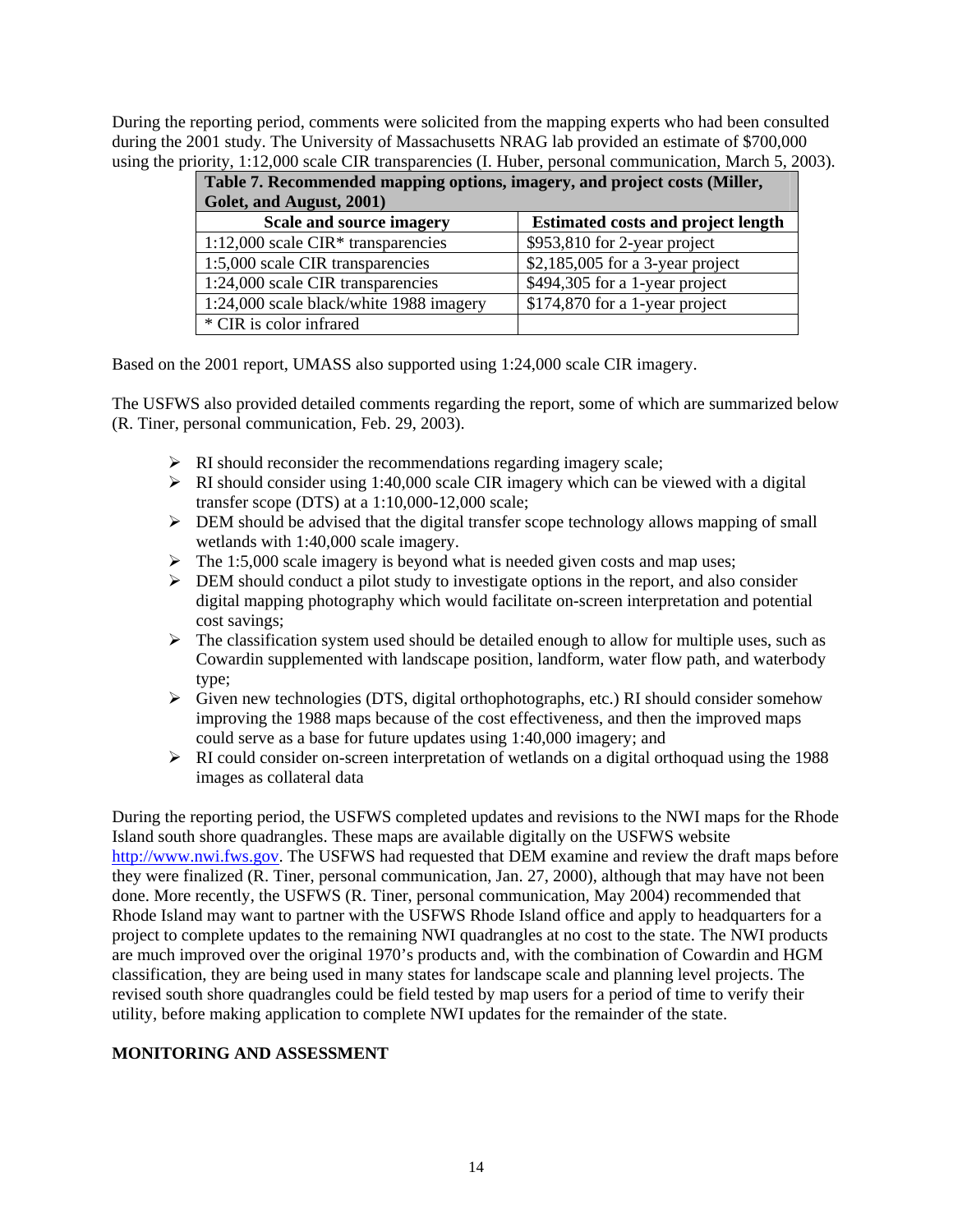During the reporting period, comments were solicited from the mapping experts who had been consulted during the 2001 study. The University of Massachusetts NRAG lab provided an estimate of \$700,000 using the priority, 1:12,000 scale CIR transparencies (I. Huber, personal communication, March 5, 2003).

| Table 7. Recommended mapping options, imagery, and project costs (Miller, |                                           |  |  |
|---------------------------------------------------------------------------|-------------------------------------------|--|--|
| Golet, and August, 2001)                                                  |                                           |  |  |
| Scale and source imagery                                                  | <b>Estimated costs and project length</b> |  |  |
| $1:12,000$ scale CIR <sup>*</sup> transparencies                          | \$953,810 for 2-year project              |  |  |
| 1:5,000 scale CIR transparencies                                          | $$2,185,005$ for a 3-year project         |  |  |
| 1:24,000 scale CIR transparencies                                         | \$494,305 for a 1-year project            |  |  |
| 1:24,000 scale black/white 1988 imagery                                   | \$174,870 for a 1-year project            |  |  |
| * CIR is color infrared                                                   |                                           |  |  |

Based on the 2001 report, UMASS also supported using 1:24,000 scale CIR imagery.

The USFWS also provided detailed comments regarding the report, some of which are summarized below (R. Tiner, personal communication, Feb. 29, 2003).

- $\triangleright$  RI should reconsider the recommendations regarding imagery scale;
- $\triangleright$  RI should consider using 1:40,000 scale CIR imagery which can be viewed with a digital transfer scope (DTS) at a 1:10,000-12,000 scale;
- $\triangleright$  DEM should be advised that the digital transfer scope technology allows mapping of small wetlands with 1:40,000 scale imagery.
- $\triangleright$  The 1:5,000 scale imagery is beyond what is needed given costs and map uses;
- ¾ DEM should conduct a pilot study to investigate options in the report, and also consider digital mapping photography which would facilitate on-screen interpretation and potential cost savings;
- $\triangleright$  The classification system used should be detailed enough to allow for multiple uses, such as Cowardin supplemented with landscape position, landform, water flow path, and waterbody type;
- ¾ Given new technologies (DTS, digital orthophotographs, etc.) RI should consider somehow improving the 1988 maps because of the cost effectiveness, and then the improved maps could serve as a base for future updates using 1:40,000 imagery; and
- $\triangleright$  RI could consider on-screen interpretation of wetlands on a digital orthoquad using the 1988 images as collateral data

During the reporting period, the USFWS completed updates and revisions to the NWI maps for the Rhode Island south shore quadrangles. These maps are available digitally on the USFWS website [http://www.nwi.fws.gov](http://www.nwi.fws.gov/). The USFWS had requested that DEM examine and review the draft maps before they were finalized (R. Tiner, personal communication, Jan. 27, 2000), although that may have not been done. More recently, the USFWS (R. Tiner, personal communication, May 2004) recommended that Rhode Island may want to partner with the USFWS Rhode Island office and apply to headquarters for a project to complete updates to the remaining NWI quadrangles at no cost to the state. The NWI products are much improved over the original 1970's products and, with the combination of Cowardin and HGM classification, they are being used in many states for landscape scale and planning level projects. The revised south shore quadrangles could be field tested by map users for a period of time to verify their utility, before making application to complete NWI updates for the remainder of the state.

#### **MONITORING AND ASSESSMENT**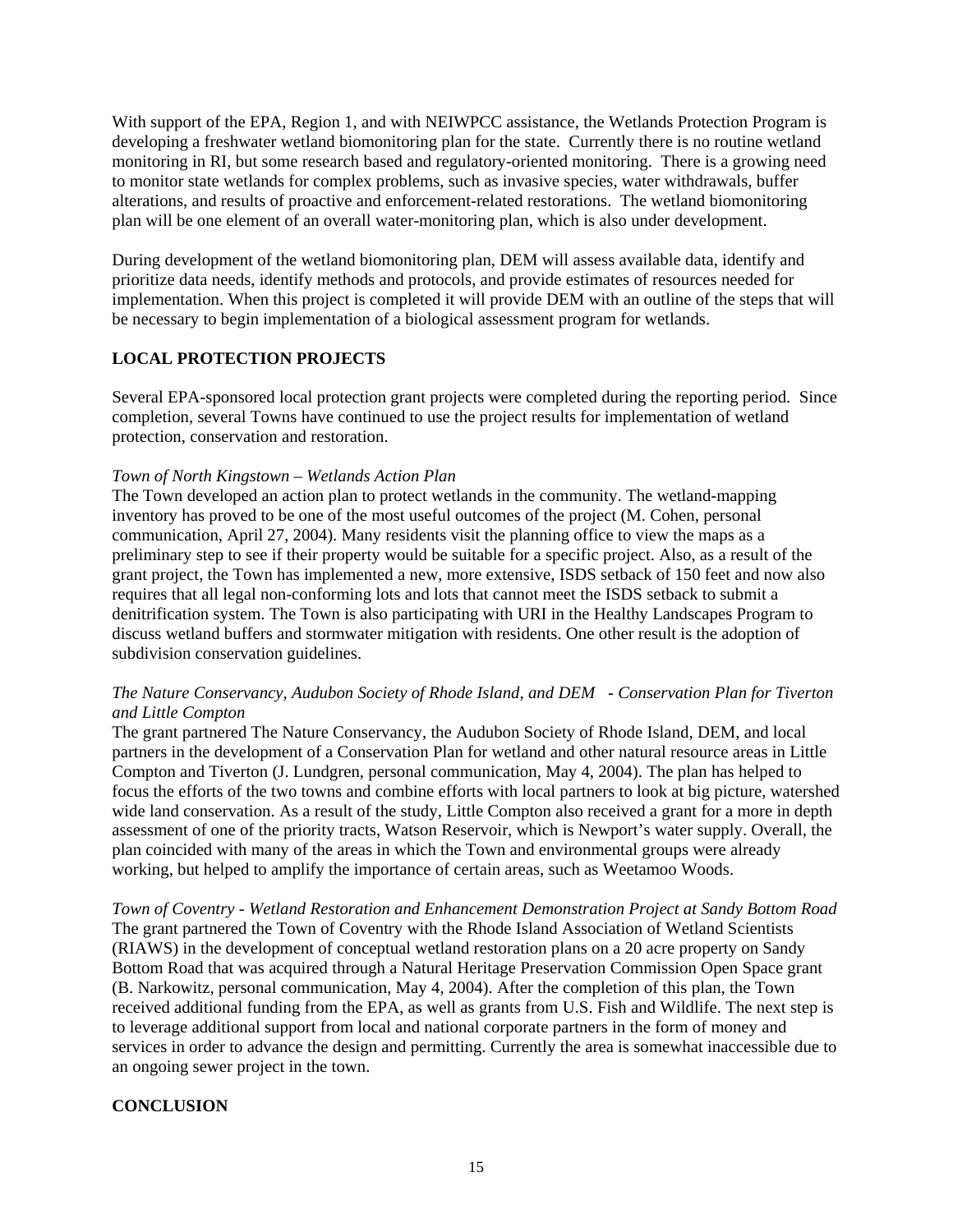With support of the EPA, Region 1, and with NEIWPCC assistance, the Wetlands Protection Program is developing a freshwater wetland biomonitoring plan for the state. Currently there is no routine wetland monitoring in RI, but some research based and regulatory-oriented monitoring. There is a growing need to monitor state wetlands for complex problems, such as invasive species, water withdrawals, buffer alterations, and results of proactive and enforcement-related restorations. The wetland biomonitoring plan will be one element of an overall water-monitoring plan, which is also under development.

During development of the wetland biomonitoring plan, DEM will assess available data, identify and prioritize data needs, identify methods and protocols, and provide estimates of resources needed for implementation. When this project is completed it will provide DEM with an outline of the steps that will be necessary to begin implementation of a biological assessment program for wetlands.

### **LOCAL PROTECTION PROJECTS**

Several EPA-sponsored local protection grant projects were completed during the reporting period. Since completion, several Towns have continued to use the project results for implementation of wetland protection, conservation and restoration.

#### *Town of North Kingstown – Wetlands Action Plan*

The Town developed an action plan to protect wetlands in the community. The wetland-mapping inventory has proved to be one of the most useful outcomes of the project (M. Cohen, personal communication, April 27, 2004). Many residents visit the planning office to view the maps as a preliminary step to see if their property would be suitable for a specific project. Also, as a result of the grant project, the Town has implemented a new, more extensive, ISDS setback of 150 feet and now also requires that all legal non-conforming lots and lots that cannot meet the ISDS setback to submit a denitrification system. The Town is also participating with URI in the Healthy Landscapes Program to discuss wetland buffers and stormwater mitigation with residents. One other result is the adoption of subdivision conservation guidelines.

### *The Nature Conservancy, Audubon Society of Rhode Island, and DEM - Conservation Plan for Tiverton and Little Compton*

The grant partnered The Nature Conservancy, the Audubon Society of Rhode Island, DEM, and local partners in the development of a Conservation Plan for wetland and other natural resource areas in Little Compton and Tiverton (J. Lundgren, personal communication, May 4, 2004). The plan has helped to focus the efforts of the two towns and combine efforts with local partners to look at big picture, watershed wide land conservation. As a result of the study, Little Compton also received a grant for a more in depth assessment of one of the priority tracts, Watson Reservoir, which is Newport's water supply. Overall, the plan coincided with many of the areas in which the Town and environmental groups were already working, but helped to amplify the importance of certain areas, such as Weetamoo Woods.

*Town of Coventry - Wetland Restoration and Enhancement Demonstration Project at Sandy Bottom Road* The grant partnered the Town of Coventry with the Rhode Island Association of Wetland Scientists (RIAWS) in the development of conceptual wetland restoration plans on a 20 acre property on Sandy Bottom Road that was acquired through a Natural Heritage Preservation Commission Open Space grant (B. Narkowitz, personal communication, May 4, 2004). After the completion of this plan, the Town received additional funding from the EPA, as well as grants from U.S. Fish and Wildlife. The next step is to leverage additional support from local and national corporate partners in the form of money and services in order to advance the design and permitting. Currently the area is somewhat inaccessible due to an ongoing sewer project in the town.

# **CONCLUSION**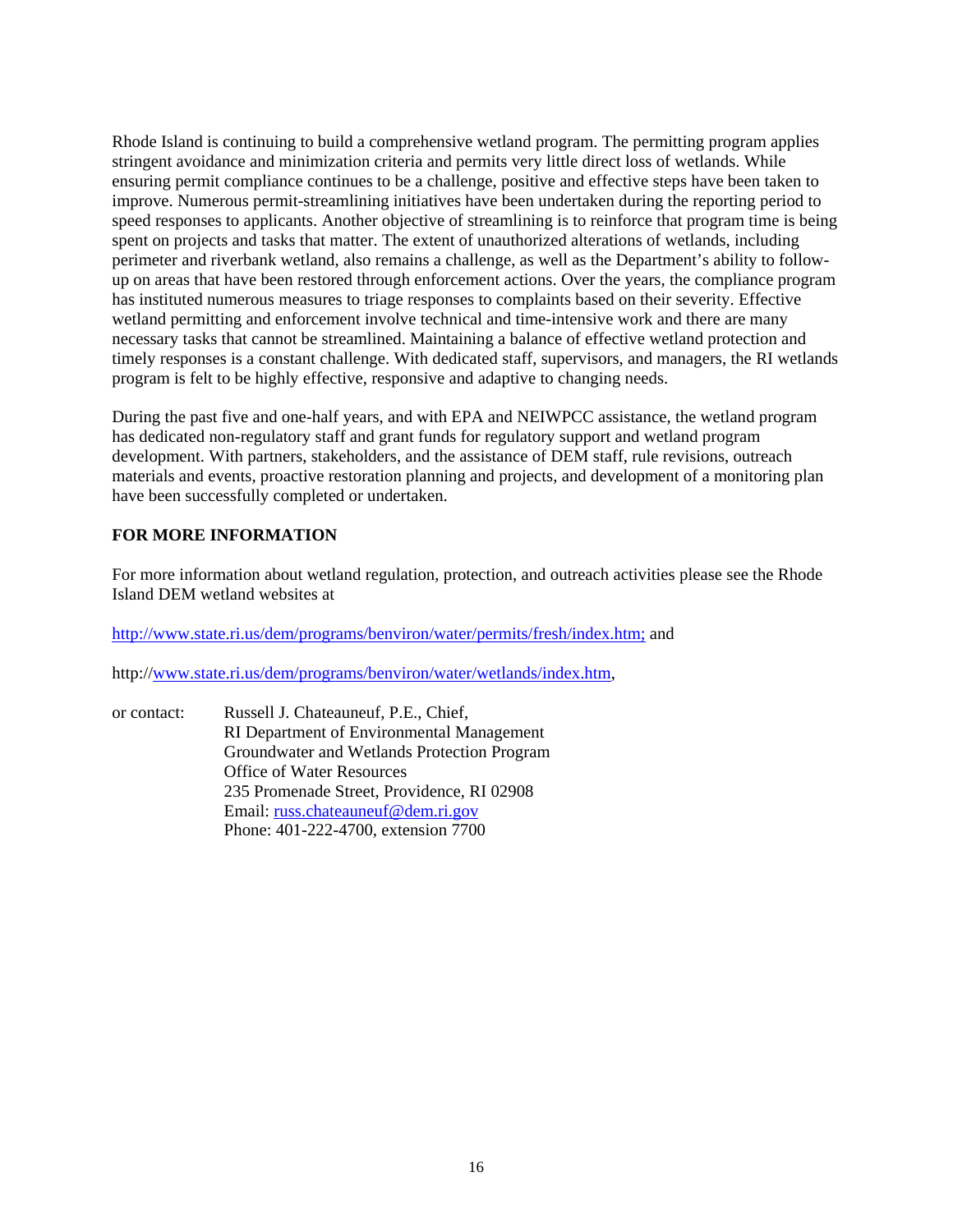Rhode Island is continuing to build a comprehensive wetland program. The permitting program applies stringent avoidance and minimization criteria and permits very little direct loss of wetlands. While ensuring permit compliance continues to be a challenge, positive and effective steps have been taken to improve. Numerous permit-streamlining initiatives have been undertaken during the reporting period to speed responses to applicants. Another objective of streamlining is to reinforce that program time is being spent on projects and tasks that matter. The extent of unauthorized alterations of wetlands, including perimeter and riverbank wetland, also remains a challenge, as well as the Department's ability to followup on areas that have been restored through enforcement actions. Over the years, the compliance program has instituted numerous measures to triage responses to complaints based on their severity. Effective wetland permitting and enforcement involve technical and time-intensive work and there are many necessary tasks that cannot be streamlined. Maintaining a balance of effective wetland protection and timely responses is a constant challenge. With dedicated staff, supervisors, and managers, the RI wetlands program is felt to be highly effective, responsive and adaptive to changing needs.

During the past five and one-half years, and with EPA and NEIWPCC assistance, the wetland program has dedicated non-regulatory staff and grant funds for regulatory support and wetland program development. With partners, stakeholders, and the assistance of DEM staff, rule revisions, outreach materials and events, proactive restoration planning and projects, and development of a monitoring plan have been successfully completed or undertaken.

### **FOR MORE INFORMATION**

For more information about wetland regulation, protection, and outreach activities please see the Rhode Island DEM wetland websites at

<http://www.state.ri.us/dem/programs/benviron/water/permits/fresh/index.htm;>and

http:/[/www.state.ri.us/dem/programs/benviron/water/wetlands/index.htm,](http://www.state.ri.us/dem/programs/benviron/water/wetlands/index.htm)

or contact: Russell J. Chateauneuf, P.E., Chief, RI Department of Environmental Management Groundwater and Wetlands Protection Program Office of Water Resources 235 Promenade Street, Providence, RI 02908 Email: [russ.chateauneuf@dem.ri.gov](mailto:russ.chateauneuf@dem.ri.gov) Phone: 401-222-4700, extension 7700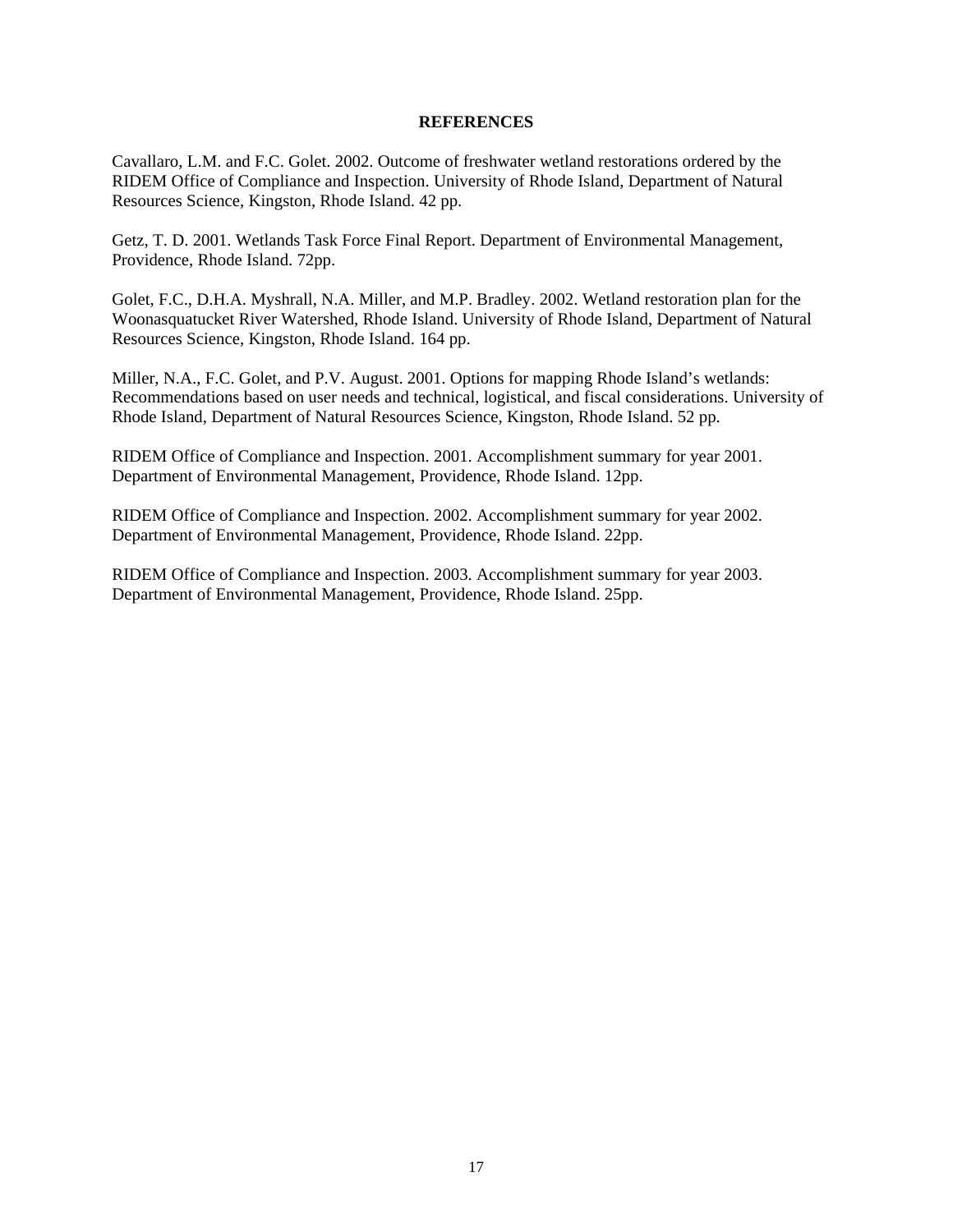#### **REFERENCES**

Cavallaro, L.M. and F.C. Golet. 2002. Outcome of freshwater wetland restorations ordered by the RIDEM Office of Compliance and Inspection. University of Rhode Island, Department of Natural Resources Science, Kingston, Rhode Island. 42 pp.

Getz, T. D. 2001. Wetlands Task Force Final Report. Department of Environmental Management, Providence, Rhode Island. 72pp.

Golet, F.C., D.H.A. Myshrall, N.A. Miller, and M.P. Bradley. 2002. Wetland restoration plan for the Woonasquatucket River Watershed, Rhode Island. University of Rhode Island, Department of Natural Resources Science, Kingston, Rhode Island. 164 pp.

Miller, N.A., F.C. Golet, and P.V. August. 2001. Options for mapping Rhode Island's wetlands: Recommendations based on user needs and technical, logistical, and fiscal considerations. University of Rhode Island, Department of Natural Resources Science, Kingston, Rhode Island. 52 pp.

RIDEM Office of Compliance and Inspection. 2001. Accomplishment summary for year 2001. Department of Environmental Management, Providence, Rhode Island. 12pp.

RIDEM Office of Compliance and Inspection. 2002. Accomplishment summary for year 2002. Department of Environmental Management, Providence, Rhode Island. 22pp.

RIDEM Office of Compliance and Inspection. 2003. Accomplishment summary for year 2003. Department of Environmental Management, Providence, Rhode Island. 25pp.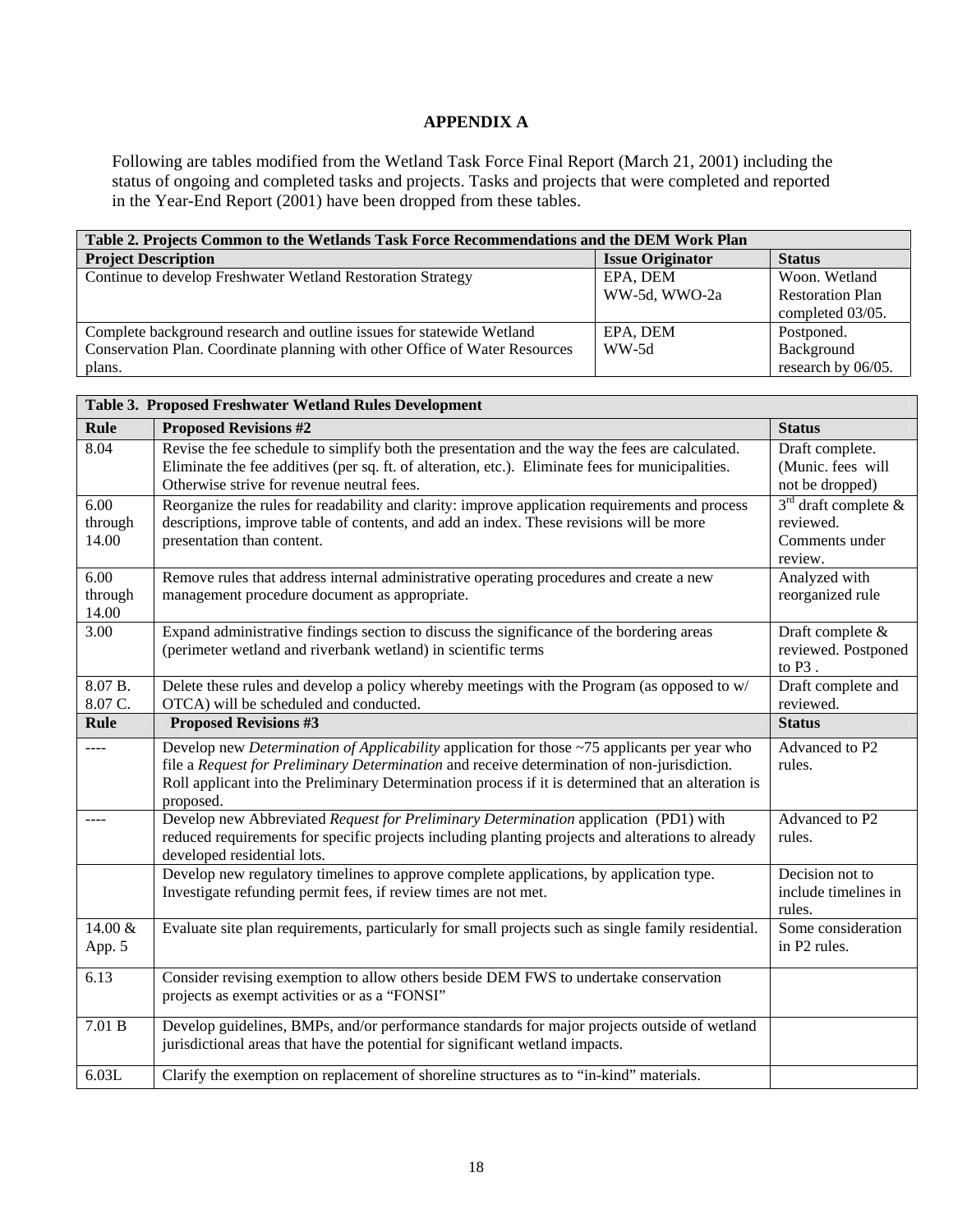# **APPENDIX A**

Following are tables modified from the Wetland Task Force Final Report (March 21, 2001) including the status of ongoing and completed tasks and projects. Tasks and projects that were completed and reported in the Year-End Report (2001) have been dropped from these tables.

| Table 2. Projects Common to the Wetlands Task Force Recommendations and the DEM Work Plan |                         |                         |  |
|-------------------------------------------------------------------------------------------|-------------------------|-------------------------|--|
| <b>Project Description</b>                                                                | <b>Issue Originator</b> | <b>Status</b>           |  |
| Continue to develop Freshwater Wetland Restoration Strategy                               | EPA, DEM                | Woon. Wetland           |  |
|                                                                                           | WW-5d, WWO-2a           | <b>Restoration Plan</b> |  |
|                                                                                           |                         | completed 03/05.        |  |
| Complete background research and outline issues for statewide Wetland                     | EPA, DEM                | Postponed.              |  |
| Conservation Plan. Coordinate planning with other Office of Water Resources               | WW-5d                   | Background              |  |
| plans.                                                                                    |                         | research by 06/05.      |  |

| Table 3. Proposed Freshwater Wetland Rules Development |                                                                                                                                                            |                                         |  |  |
|--------------------------------------------------------|------------------------------------------------------------------------------------------------------------------------------------------------------------|-----------------------------------------|--|--|
| <b>Rule</b>                                            | <b>Proposed Revisions #2</b>                                                                                                                               | <b>Status</b>                           |  |  |
| 8.04                                                   | Revise the fee schedule to simplify both the presentation and the way the fees are calculated.                                                             | Draft complete.                         |  |  |
|                                                        | Eliminate the fee additives (per sq. ft. of alteration, etc.). Eliminate fees for municipalities.                                                          | (Munic. fees will                       |  |  |
|                                                        | Otherwise strive for revenue neutral fees.                                                                                                                 | not be dropped)                         |  |  |
| 6.00                                                   | Reorganize the rules for readability and clarity: improve application requirements and process                                                             | $3rd$ draft complete &                  |  |  |
| through                                                | descriptions, improve table of contents, and add an index. These revisions will be more                                                                    | reviewed.                               |  |  |
| 14.00                                                  | presentation than content.                                                                                                                                 | Comments under                          |  |  |
|                                                        |                                                                                                                                                            | review.                                 |  |  |
| 6.00                                                   | Remove rules that address internal administrative operating procedures and create a new                                                                    | Analyzed with                           |  |  |
| through                                                | management procedure document as appropriate.                                                                                                              | reorganized rule                        |  |  |
| 14.00                                                  |                                                                                                                                                            |                                         |  |  |
| 3.00                                                   | Expand administrative findings section to discuss the significance of the bordering areas<br>(perimeter wetland and riverbank wetland) in scientific terms | Draft complete &<br>reviewed. Postponed |  |  |
|                                                        |                                                                                                                                                            | to $P3$ .                               |  |  |
| 8.07 B.                                                | Delete these rules and develop a policy whereby meetings with the Program (as opposed to w/                                                                | Draft complete and                      |  |  |
| 8.07 C.                                                | OTCA) will be scheduled and conducted.                                                                                                                     | reviewed.                               |  |  |
| Rule                                                   | <b>Proposed Revisions #3</b>                                                                                                                               | <b>Status</b>                           |  |  |
|                                                        | Develop new <i>Determination of Applicability</i> application for those ~75 applicants per year who                                                        | Advanced to P2                          |  |  |
|                                                        | file a Request for Preliminary Determination and receive determination of non-jurisdiction.                                                                | rules.                                  |  |  |
|                                                        | Roll applicant into the Preliminary Determination process if it is determined that an alteration is                                                        |                                         |  |  |
|                                                        | proposed.                                                                                                                                                  |                                         |  |  |
| ----                                                   | Develop new Abbreviated Request for Preliminary Determination application (PD1) with                                                                       | Advanced to P2                          |  |  |
|                                                        | reduced requirements for specific projects including planting projects and alterations to already                                                          | rules.                                  |  |  |
|                                                        | developed residential lots.                                                                                                                                |                                         |  |  |
|                                                        | Develop new regulatory timelines to approve complete applications, by application type.                                                                    | Decision not to                         |  |  |
|                                                        | Investigate refunding permit fees, if review times are not met.                                                                                            | include timelines in                    |  |  |
| 14.00 &                                                | Evaluate site plan requirements, particularly for small projects such as single family residential.                                                        | rules.<br>Some consideration            |  |  |
| App. 5                                                 |                                                                                                                                                            | in P2 rules.                            |  |  |
|                                                        |                                                                                                                                                            |                                         |  |  |
| 6.13                                                   | Consider revising exemption to allow others beside DEM FWS to undertake conservation                                                                       |                                         |  |  |
|                                                        | projects as exempt activities or as a "FONSI"                                                                                                              |                                         |  |  |
| 7.01 B                                                 | Develop guidelines, BMPs, and/or performance standards for major projects outside of wetland                                                               |                                         |  |  |
|                                                        | jurisdictional areas that have the potential for significant wetland impacts.                                                                              |                                         |  |  |
|                                                        |                                                                                                                                                            |                                         |  |  |
| 6.03L                                                  | Clarify the exemption on replacement of shoreline structures as to "in-kind" materials.                                                                    |                                         |  |  |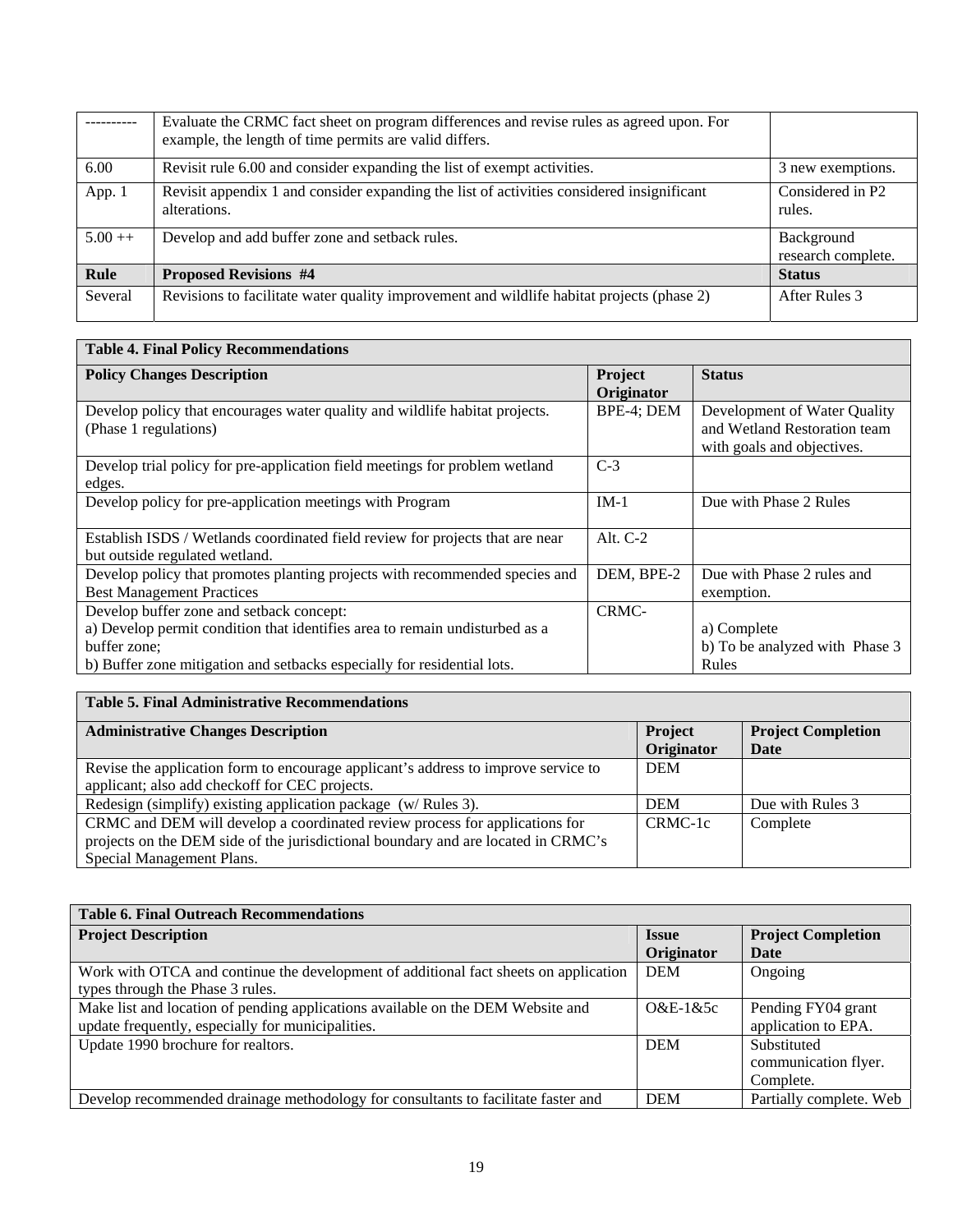|          | Evaluate the CRMC fact sheet on program differences and revise rules as agreed upon. For<br>example, the length of time permits are valid differs. |                                  |
|----------|----------------------------------------------------------------------------------------------------------------------------------------------------|----------------------------------|
| 6.00     | Revisit rule 6.00 and consider expanding the list of exempt activities.                                                                            | 3 new exemptions.                |
| App. 1   | Revisit appendix 1 and consider expanding the list of activities considered insignificant<br>alterations.                                          | Considered in P2<br>rules.       |
| $5.00++$ | Develop and add buffer zone and setback rules.                                                                                                     | Background<br>research complete. |
| Rule     | <b>Proposed Revisions #4</b>                                                                                                                       | <b>Status</b>                    |
| Several  | Revisions to facilitate water quality improvement and wildlife habitat projects (phase 2)                                                          | After Rules 3                    |

#### **Table 4. Final Policy Recommendations Policy Changes Description Project**  Project **Originator Status**  Develop policy that encourages water quality and wildlife habitat projects. (Phase 1 regulations) BPE-4; DEM Development of Water Quality and Wetland Restoration team with goals and objectives. Develop trial policy for pre-application field meetings for problem wetland edges.  $\overline{C-3}$ Develop policy for pre-application meetings with Program IM-1 Due with Phase 2 Rules Establish ISDS / Wetlands coordinated field review for projects that are near but outside regulated wetland. Alt. C-2 Develop policy that promotes planting projects with recommended species and Best Management Practices DEM, BPE-2 Due with Phase 2 rules and exemption. Develop buffer zone and setback concept: a) Develop permit condition that identifies area to remain undisturbed as a buffer zone; b) Buffer zone mitigation and setbacks especially for residential lots. CRMCa) Complete b) To be analyzed with Phase 3 Rules

| <b>Table 5. Final Administrative Recommendations</b>                                                                                                                                          |                              |                                   |
|-----------------------------------------------------------------------------------------------------------------------------------------------------------------------------------------------|------------------------------|-----------------------------------|
| <b>Administrative Changes Description</b>                                                                                                                                                     | <b>Project</b><br>Originator | <b>Project Completion</b><br>Date |
| Revise the application form to encourage applicant's address to improve service to<br>applicant; also add checkoff for CEC projects.                                                          | <b>DEM</b>                   |                                   |
| Redesign (simplify) existing application package (w/Rules 3).                                                                                                                                 | <b>DEM</b>                   | Due with Rules 3                  |
| CRMC and DEM will develop a coordinated review process for applications for<br>projects on the DEM side of the jurisdictional boundary and are located in CRMC's<br>Special Management Plans. | CRMC-1c                      | Complete                          |

| <b>Table 6. Final Outreach Recommendations</b>                                       |              |                           |  |  |
|--------------------------------------------------------------------------------------|--------------|---------------------------|--|--|
| <b>Project Description</b>                                                           | <b>Issue</b> | <b>Project Completion</b> |  |  |
|                                                                                      | Originator   | Date                      |  |  |
| Work with OTCA and continue the development of additional fact sheets on application | <b>DEM</b>   | Ongoing                   |  |  |
| types through the Phase 3 rules.                                                     |              |                           |  |  |
| Make list and location of pending applications available on the DEM Website and      | $O&E-1&5c$   | Pending FY04 grant        |  |  |
| update frequently, especially for municipalities.                                    |              | application to EPA.       |  |  |
| Update 1990 brochure for realtors.                                                   | <b>DEM</b>   | Substituted               |  |  |
|                                                                                      |              | communication flyer.      |  |  |
|                                                                                      |              | Complete.                 |  |  |
| Develop recommended drainage methodology for consultants to facilitate faster and    | <b>DEM</b>   | Partially complete. Web   |  |  |